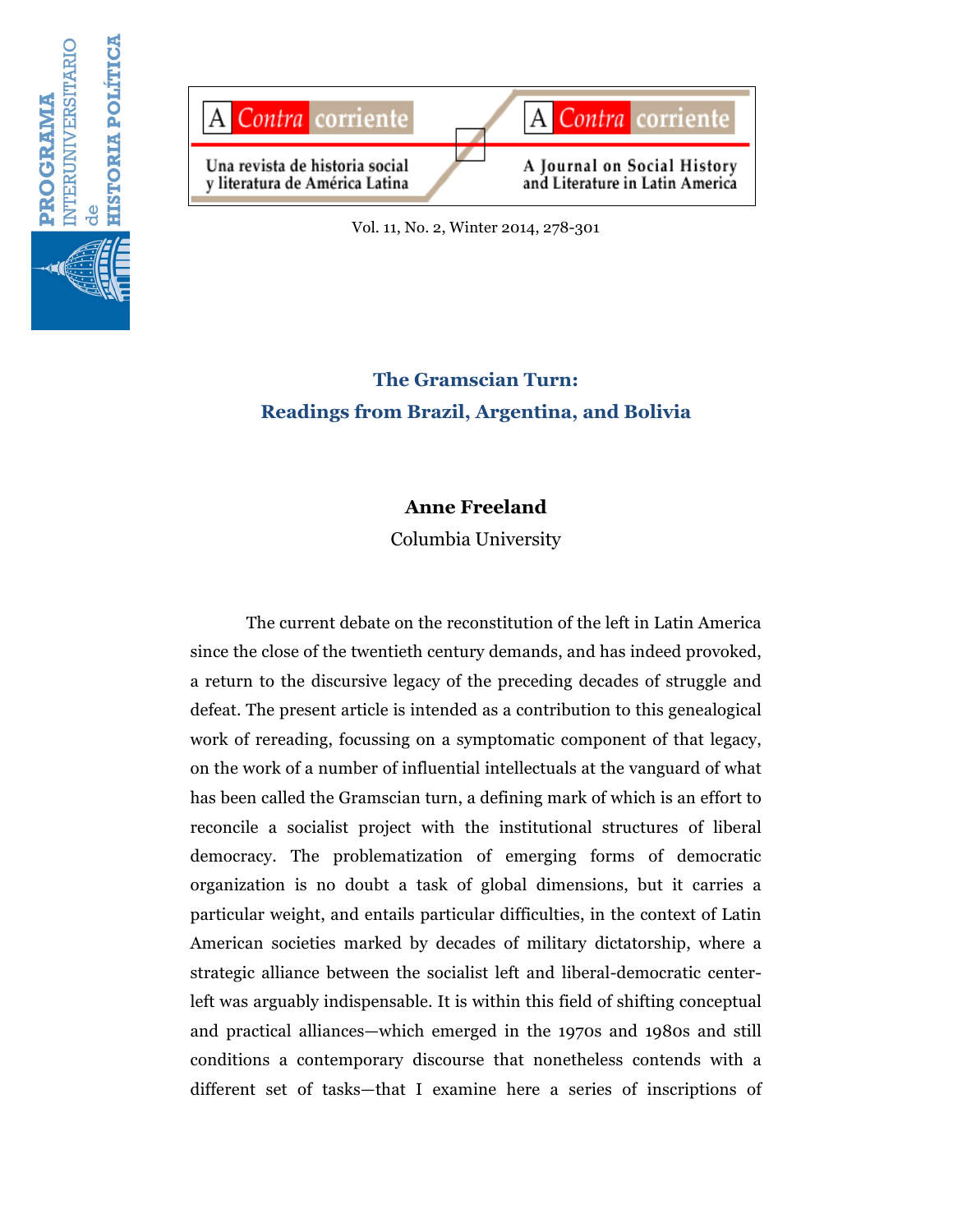



Vol. 11, No. 2, Winter 2014, 278-301

# **The Gramscian Turn: Readings from Brazil, Argentina, and Bolivia**

## **Anne Freeland**

Columbia University

The current debate on the reconstitution of the left in Latin America since the close of the twentieth century demands, and has indeed provoked, a return to the discursive legacy of the preceding decades of struggle and defeat. The present article is intended as a contribution to this genealogical work of rereading, focussing on a symptomatic component of that legacy, on the work of a number of influential intellectuals at the vanguard of what has been called the Gramscian turn, a defining mark of which is an effort to reconcile a socialist project with the institutional structures of liberal democracy. The problematization of emerging forms of democratic organization is no doubt a task of global dimensions, but it carries a particular weight, and entails particular difficulties, in the context of Latin American societies marked by decades of military dictatorship, where a strategic alliance between the socialist left and liberal-democratic centerleft was arguably indispensable. It is within this field of shifting conceptual and practical alliances—which emerged in the 1970s and 1980s and still conditions a contemporary discourse that nonetheless contends with a different set of tasks—that I examine here a series of inscriptions of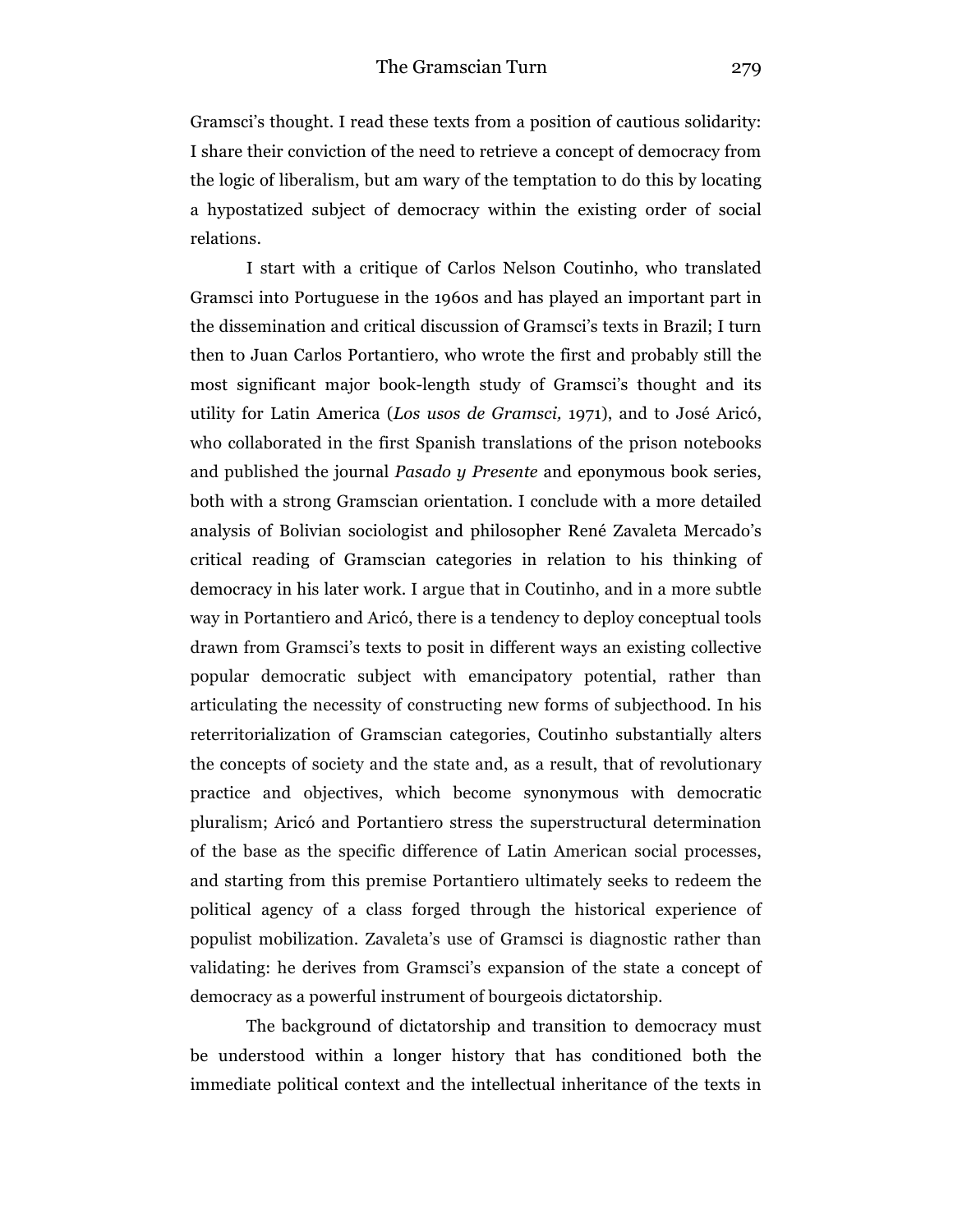Gramsci's thought. I read these texts from a position of cautious solidarity: I share their conviction of the need to retrieve a concept of democracy from the logic of liberalism, but am wary of the temptation to do this by locating a hypostatized subject of democracy within the existing order of social relations.

I start with a critique of Carlos Nelson Coutinho, who translated Gramsci into Portuguese in the 1960s and has played an important part in the dissemination and critical discussion of Gramsci's texts in Brazil; I turn then to Juan Carlos Portantiero, who wrote the first and probably still the most significant major book-length study of Gramsci's thought and its utility for Latin America (*Los usos de Gramsci,* 1971), and to José Aricó, who collaborated in the first Spanish translations of the prison notebooks and published the journal *Pasado y Presente* and eponymous book series, both with a strong Gramscian orientation. I conclude with a more detailed analysis of Bolivian sociologist and philosopher René Zavaleta Mercado's critical reading of Gramscian categories in relation to his thinking of democracy in his later work. I argue that in Coutinho, and in a more subtle way in Portantiero and Aricó, there is a tendency to deploy conceptual tools drawn from Gramsci's texts to posit in different ways an existing collective popular democratic subject with emancipatory potential, rather than articulating the necessity of constructing new forms of subjecthood. In his reterritorialization of Gramscian categories, Coutinho substantially alters the concepts of society and the state and, as a result, that of revolutionary practice and objectives, which become synonymous with democratic pluralism; Aricó and Portantiero stress the superstructural determination of the base as the specific difference of Latin American social processes, and starting from this premise Portantiero ultimately seeks to redeem the political agency of a class forged through the historical experience of populist mobilization. Zavaleta's use of Gramsci is diagnostic rather than validating: he derives from Gramsci's expansion of the state a concept of democracy as a powerful instrument of bourgeois dictatorship.

The background of dictatorship and transition to democracy must be understood within a longer history that has conditioned both the immediate political context and the intellectual inheritance of the texts in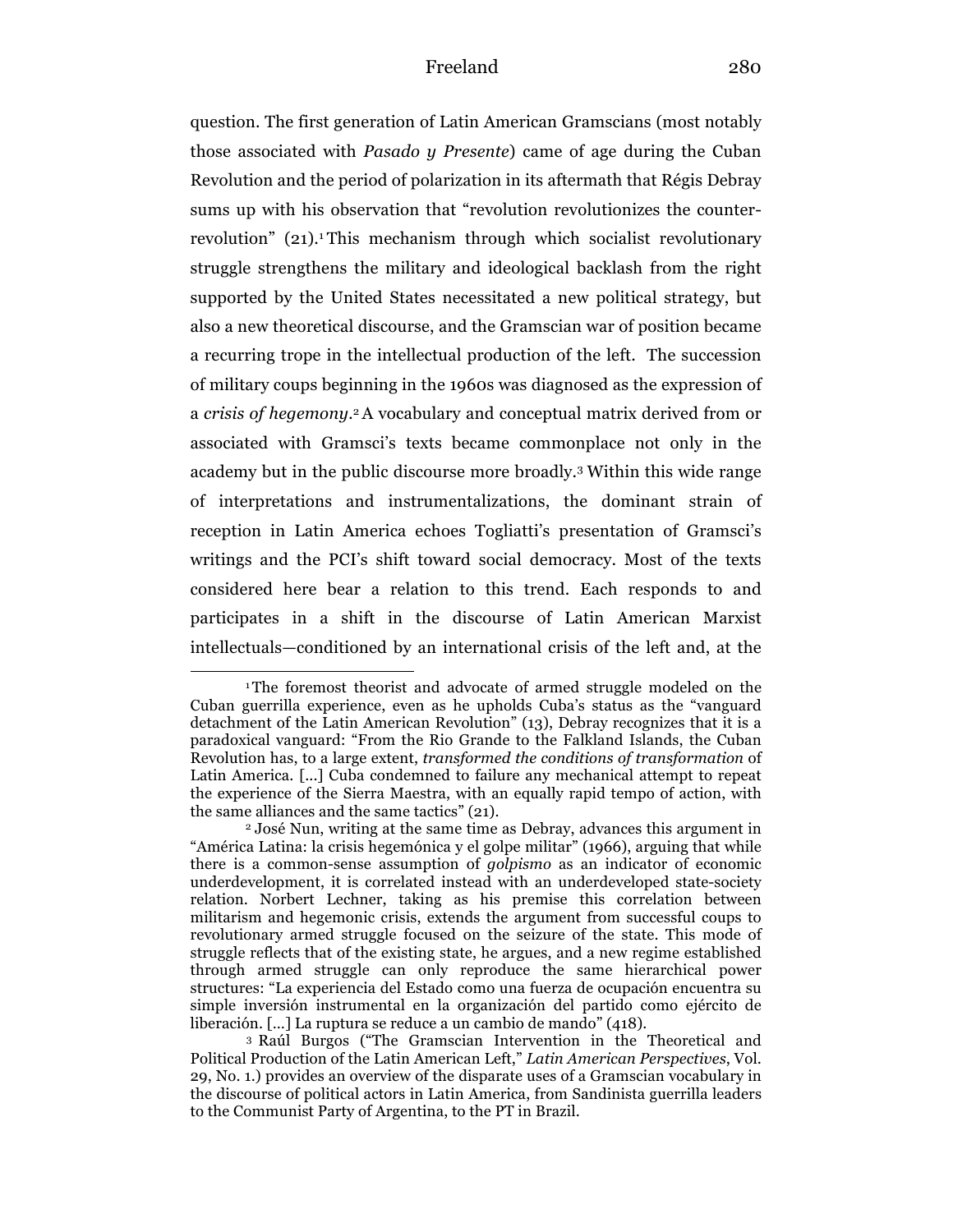question. The first generation of Latin American Gramscians (most notably those associated with *Pasado y Presente*) came of age during the Cuban Revolution and the period of polarization in its aftermath that Régis Debray sums up with his observation that "revolution revolutionizes the counterrevolution" (21).<sup>1</sup>This mechanism through which socialist revolutionary struggle strengthens the military and ideological backlash from the right supported by the United States necessitated a new political strategy, but also a new theoretical discourse, and the Gramscian war of position became a recurring trope in the intellectual production of the left. The succession of military coups beginning in the 1960s was diagnosed as the expression of a *crisis of hegemony.*2A vocabulary and conceptual matrix derived from or associated with Gramsci's texts became commonplace not only in the academy but in the public discourse more broadly.3 Within this wide range of interpretations and instrumentalizations, the dominant strain of reception in Latin America echoes Togliatti's presentation of Gramsci's writings and the PCI's shift toward social democracy. Most of the texts considered here bear a relation to this trend. Each responds to and participates in a shift in the discourse of Latin American Marxist intellectuals—conditioned by an international crisis of the left and, at the

<sup>1</sup>The foremost theorist and advocate of armed struggle modeled on the Cuban guerrilla experience, even as he upholds Cuba's status as the "vanguard detachment of the Latin American Revolution" (13), Debray recognizes that it is a paradoxical vanguard: "From the Rio Grande to the Falkland Islands, the Cuban Revolution has, to a large extent, *transformed the conditions of transformation* of Latin America. [...] Cuba condemned to failure any mechanical attempt to repeat the experience of the Sierra Maestra, with an equally rapid tempo of action, with the same alliances and the same tactics" (21).

<sup>2</sup> José Nun, writing at the same time as Debray, advances this argument in "América Latina: la crisis hegemónica y el golpe militar" (1966), arguing that while there is a common-sense assumption of *golpismo* as an indicator of economic underdevelopment, it is correlated instead with an underdeveloped state-society relation. Norbert Lechner, taking as his premise this correlation between militarism and hegemonic crisis, extends the argument from successful coups to revolutionary armed struggle focused on the seizure of the state. This mode of struggle reflects that of the existing state, he argues, and a new regime established through armed struggle can only reproduce the same hierarchical power structures: "La experiencia del Estado como una fuerza de ocupación encuentra su simple inversión instrumental en la organización del partido como ejército de liberación. […] La ruptura se reduce a un cambio de mando" (418).

<sup>3</sup> Raúl Burgos ("The Gramscian Intervention in the Theoretical and Political Production of the Latin American Left," *Latin American Perspectives*, Vol. 29, No. 1.) provides an overview of the disparate uses of a Gramscian vocabulary in the discourse of political actors in Latin America, from Sandinista guerrilla leaders to the Communist Party of Argentina, to the PT in Brazil.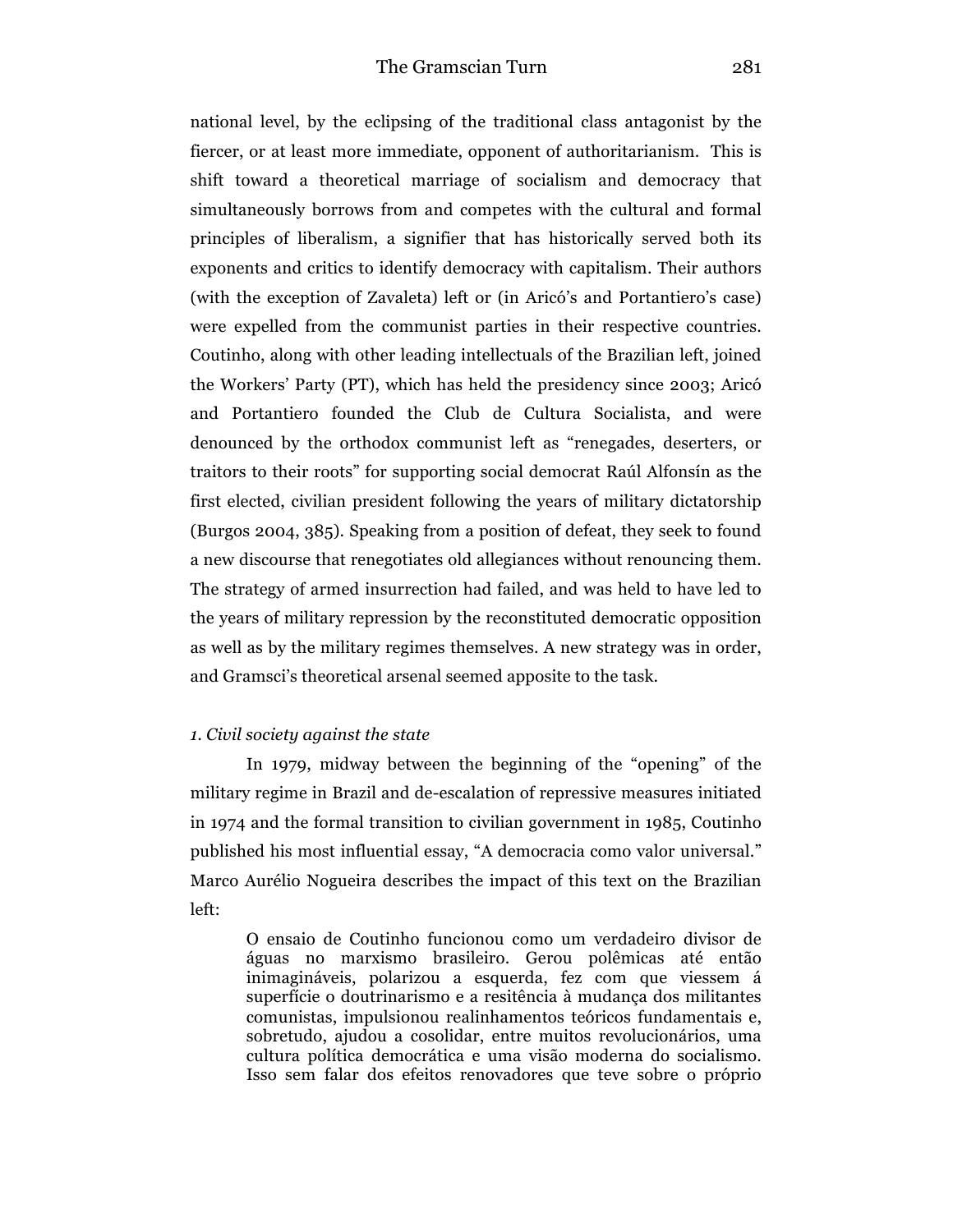national level, by the eclipsing of the traditional class antagonist by the fiercer, or at least more immediate, opponent of authoritarianism. This is shift toward a theoretical marriage of socialism and democracy that simultaneously borrows from and competes with the cultural and formal principles of liberalism, a signifier that has historically served both its exponents and critics to identify democracy with capitalism. Their authors (with the exception of Zavaleta) left or (in Aricó's and Portantiero's case) were expelled from the communist parties in their respective countries. Coutinho, along with other leading intellectuals of the Brazilian left, joined the Workers' Party (PT), which has held the presidency since 2003; Aricó and Portantiero founded the Club de Cultura Socialista, and were denounced by the orthodox communist left as "renegades, deserters, or traitors to their roots" for supporting social democrat Raúl Alfonsín as the first elected, civilian president following the years of military dictatorship (Burgos 2004, 385). Speaking from a position of defeat, they seek to found a new discourse that renegotiates old allegiances without renouncing them. The strategy of armed insurrection had failed, and was held to have led to the years of military repression by the reconstituted democratic opposition as well as by the military regimes themselves. A new strategy was in order, and Gramsci's theoretical arsenal seemed apposite to the task.

#### *1. Civil society against the state*

In 1979, midway between the beginning of the "opening" of the military regime in Brazil and de-escalation of repressive measures initiated in 1974 and the formal transition to civilian government in 1985, Coutinho published his most influential essay, "A democracia como valor universal." Marco Aurélio Nogueira describes the impact of this text on the Brazilian left:

O ensaio de Coutinho funcionou como um verdadeiro divisor de águas no marxismo brasileiro. Gerou polêmicas até então inimagináveis, polarizou a esquerda, fez com que viessem á superfície o doutrinarismo e a resitência à mudança dos militantes comunistas, impulsionou realinhamentos teóricos fundamentais e, sobretudo, ajudou a cosolidar, entre muitos revolucionários, uma cultura política democrática e uma visão moderna do socialismo. Isso sem falar dos efeitos renovadores que teve sobre o próprio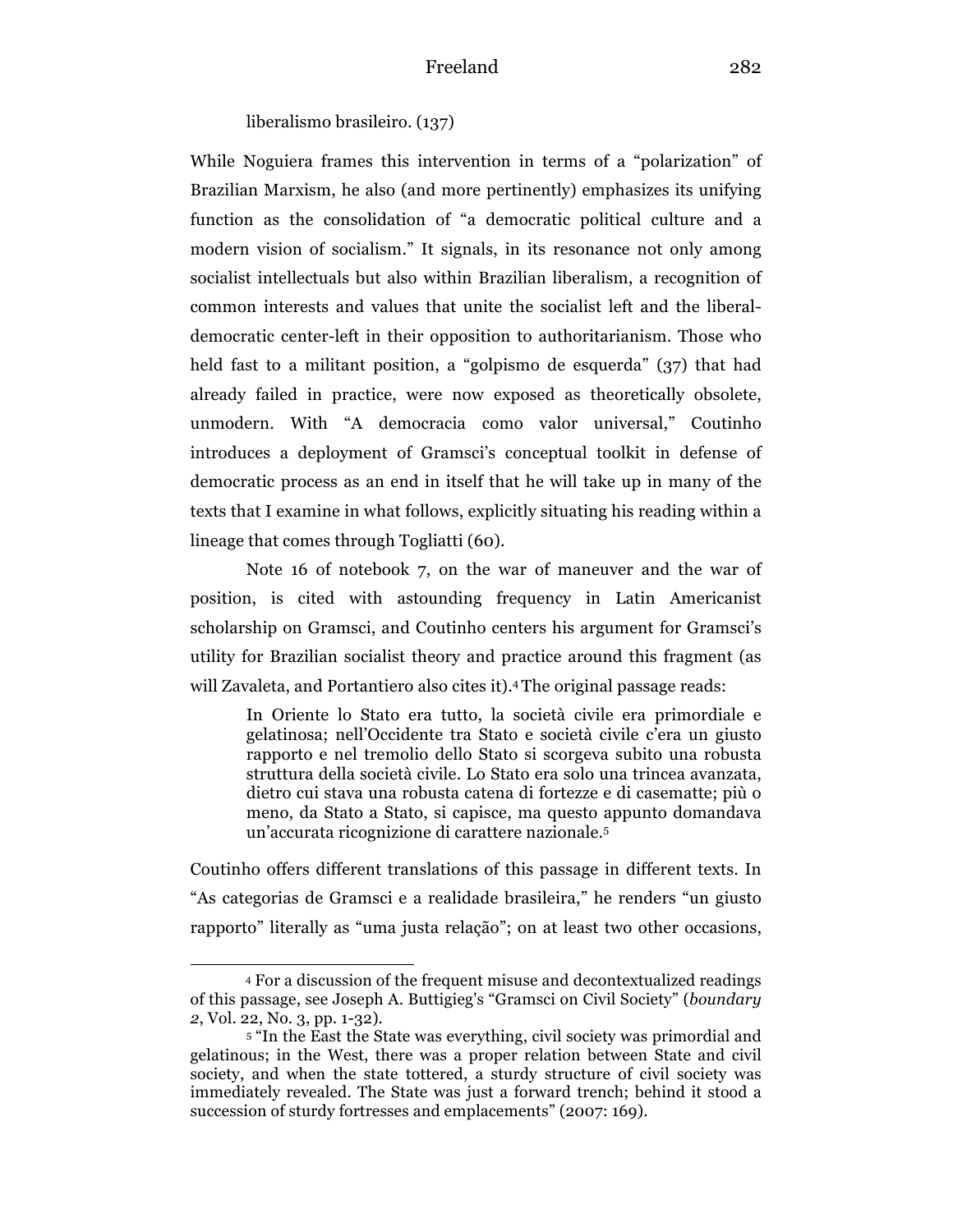liberalismo brasileiro. (137)

While Noguiera frames this intervention in terms of a "polarization" of Brazilian Marxism, he also (and more pertinently) emphasizes its unifying function as the consolidation of "a democratic political culture and a modern vision of socialism." It signals, in its resonance not only among socialist intellectuals but also within Brazilian liberalism, a recognition of common interests and values that unite the socialist left and the liberaldemocratic center-left in their opposition to authoritarianism. Those who held fast to a militant position, a "golpismo de esquerda" (37) that had already failed in practice, were now exposed as theoretically obsolete, unmodern. With "A democracia como valor universal," Coutinho introduces a deployment of Gramsci's conceptual toolkit in defense of democratic process as an end in itself that he will take up in many of the texts that I examine in what follows, explicitly situating his reading within a lineage that comes through Togliatti (60).

Note 16 of notebook 7, on the war of maneuver and the war of position, is cited with astounding frequency in Latin Americanist scholarship on Gramsci, and Coutinho centers his argument for Gramsci's utility for Brazilian socialist theory and practice around this fragment (as will Zavaleta, and Portantiero also cites it).<sup>4</sup> The original passage reads:

In Oriente lo Stato era tutto, la società civile era primordiale e gelatinosa; nell'Occidente tra Stato e società civile c'era un giusto rapporto e nel tremolio dello Stato si scorgeva subito una robusta struttura della società civile. Lo Stato era solo una trincea avanzata, dietro cui stava una robusta catena di fortezze e di casematte; più o meno, da Stato a Stato, si capisce, ma questo appunto domandava un'accurata ricognizione di carattere nazionale.5

Coutinho offers different translations of this passage in different texts. In "As categorias de Gramsci e a realidade brasileira," he renders "un giusto rapporto" literally as "uma justa relação"; on at least two other occasions,

<sup>4</sup> For a discussion of the frequent misuse and decontextualized readings of this passage, see Joseph A. Buttigieg's "Gramsci on Civil Society" (*boundary 2*, Vol. 22, No. 3, pp. 1-32).

<sup>5</sup> "In the East the State was everything, civil society was primordial and gelatinous; in the West, there was a proper relation between State and civil society, and when the state tottered, a sturdy structure of civil society was immediately revealed. The State was just a forward trench; behind it stood a succession of sturdy fortresses and emplacements" (2007: 169).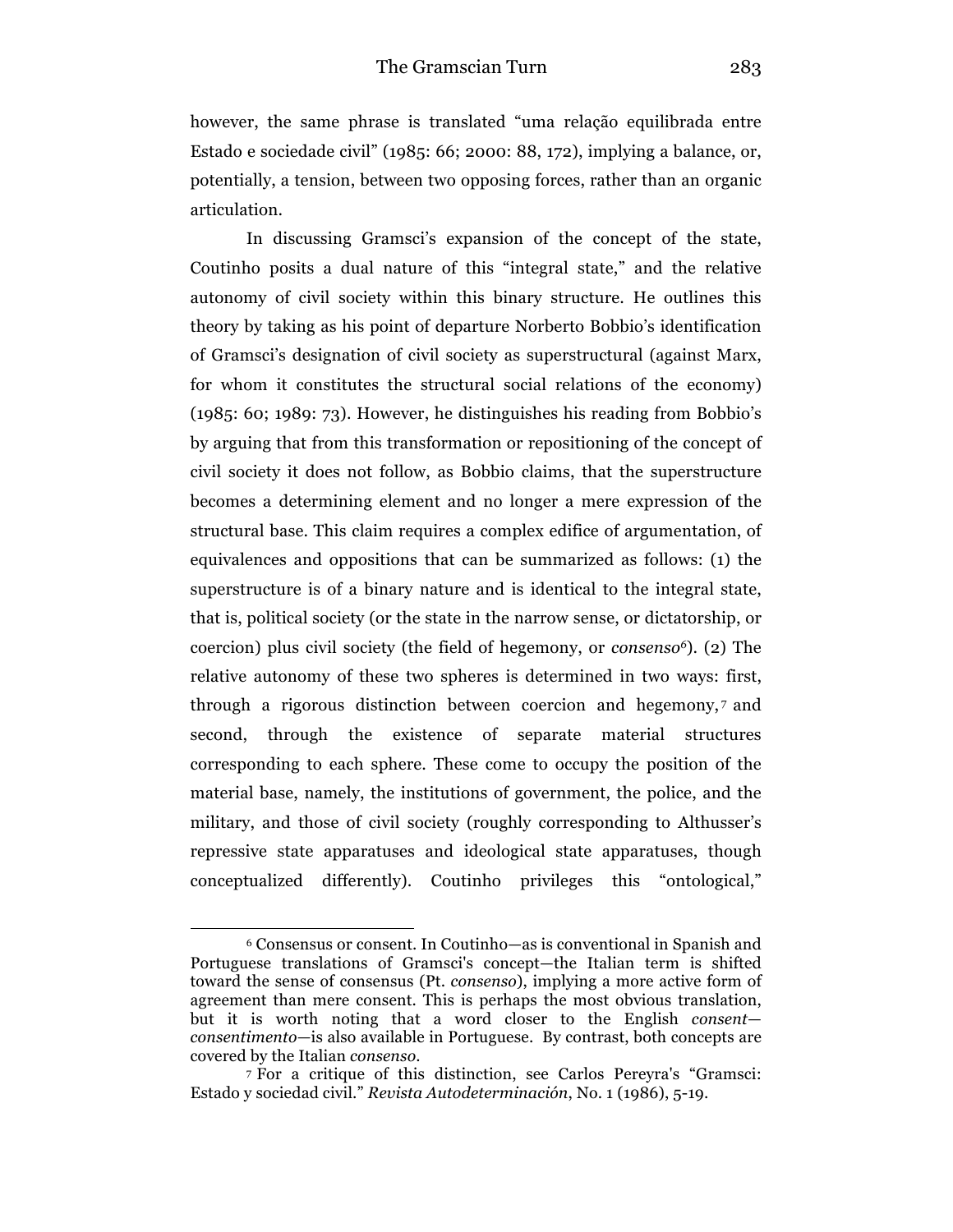however, the same phrase is translated "uma relação equilibrada entre Estado e sociedade civil" (1985: 66; 2000: 88, 172), implying a balance, or, potentially, a tension, between two opposing forces, rather than an organic articulation.

In discussing Gramsci's expansion of the concept of the state, Coutinho posits a dual nature of this "integral state," and the relative autonomy of civil society within this binary structure. He outlines this theory by taking as his point of departure Norberto Bobbio's identification of Gramsci's designation of civil society as superstructural (against Marx, for whom it constitutes the structural social relations of the economy) (1985: 60; 1989: 73). However, he distinguishes his reading from Bobbio's by arguing that from this transformation or repositioning of the concept of civil society it does not follow, as Bobbio claims, that the superstructure becomes a determining element and no longer a mere expression of the structural base. This claim requires a complex edifice of argumentation, of equivalences and oppositions that can be summarized as follows: (1) the superstructure is of a binary nature and is identical to the integral state, that is, political society (or the state in the narrow sense, or dictatorship, or coercion) plus civil society (the field of hegemony, or *consenso6*). (2) The relative autonomy of these two spheres is determined in two ways: first, through a rigorous distinction between coercion and hegemony, <sup>7</sup> and second, through the existence of separate material structures corresponding to each sphere. These come to occupy the position of the material base, namely, the institutions of government, the police, and the military, and those of civil society (roughly corresponding to Althusser's repressive state apparatuses and ideological state apparatuses, though conceptualized differently). Coutinho privileges this "ontological,"

<sup>6</sup> Consensus or consent. In Coutinho—as is conventional in Spanish and Portuguese translations of Gramsci's concept—the Italian term is shifted toward the sense of consensus (Pt. *consenso*), implying a more active form of agreement than mere consent. This is perhaps the most obvious translation, but it is worth noting that a word closer to the English *consent consentimento—*is also available in Portuguese. By contrast, both concepts are covered by the Italian *consenso*.

<sup>7</sup> For a critique of this distinction, see Carlos Pereyra's "Gramsci: Estado y sociedad civil." *Revista Autodeterminación*, No. 1 (1986), 5-19.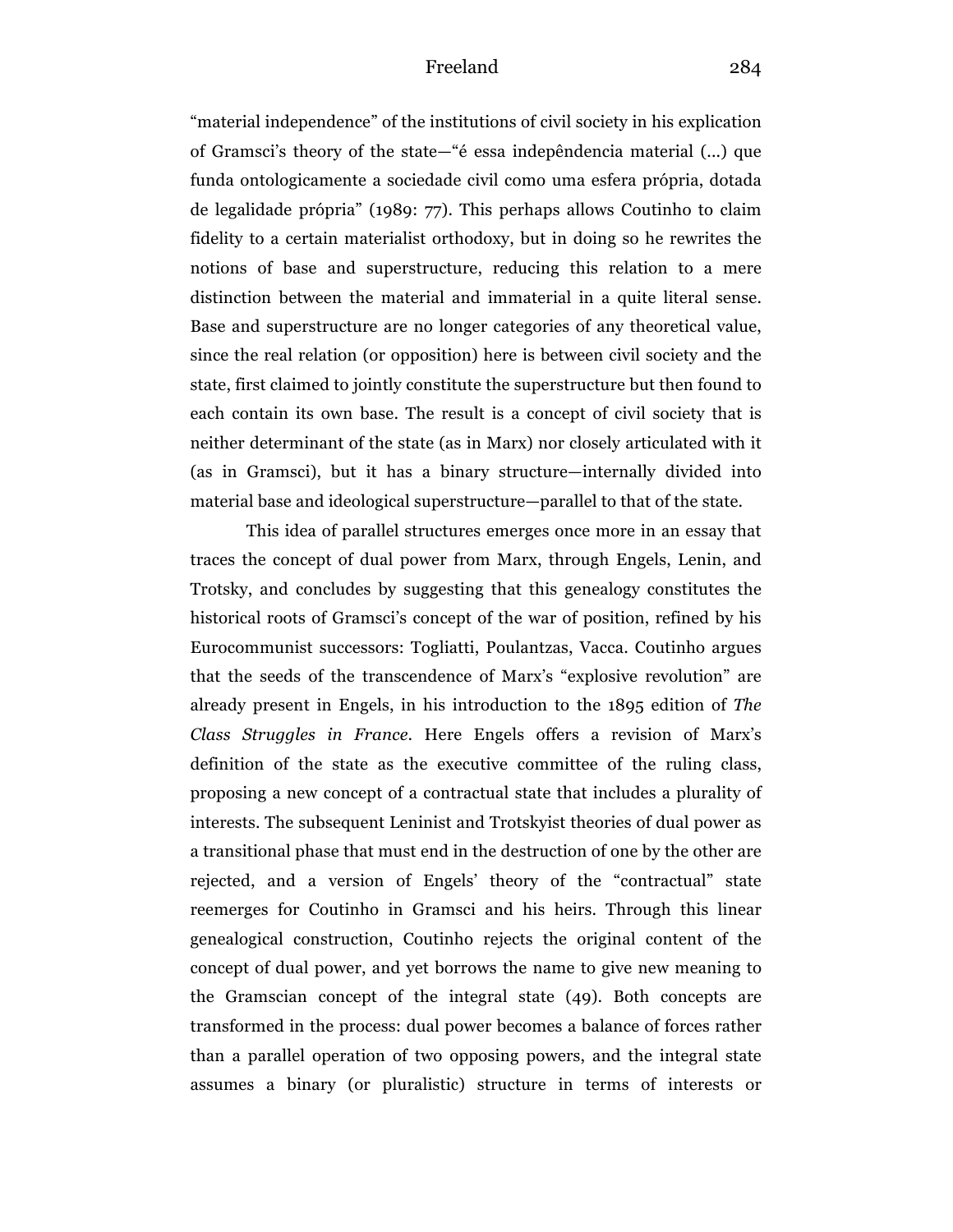"material independence" of the institutions of civil society in his explication of Gramsci's theory of the state—"é essa indepêndencia material (...) que funda ontologicamente a sociedade civil como uma esfera própria, dotada de legalidade própria" (1989: 77). This perhaps allows Coutinho to claim fidelity to a certain materialist orthodoxy, but in doing so he rewrites the notions of base and superstructure, reducing this relation to a mere distinction between the material and immaterial in a quite literal sense. Base and superstructure are no longer categories of any theoretical value, since the real relation (or opposition) here is between civil society and the state, first claimed to jointly constitute the superstructure but then found to each contain its own base. The result is a concept of civil society that is neither determinant of the state (as in Marx) nor closely articulated with it (as in Gramsci), but it has a binary structure—internally divided into material base and ideological superstructure—parallel to that of the state.

This idea of parallel structures emerges once more in an essay that traces the concept of dual power from Marx, through Engels, Lenin, and Trotsky, and concludes by suggesting that this genealogy constitutes the historical roots of Gramsci's concept of the war of position, refined by his Eurocommunist successors: Togliatti, Poulantzas, Vacca. Coutinho argues that the seeds of the transcendence of Marx's "explosive revolution" are already present in Engels, in his introduction to the 1895 edition of *The Class Struggles in France*. Here Engels offers a revision of Marx's definition of the state as the executive committee of the ruling class, proposing a new concept of a contractual state that includes a plurality of interests. The subsequent Leninist and Trotskyist theories of dual power as a transitional phase that must end in the destruction of one by the other are rejected, and a version of Engels' theory of the "contractual" state reemerges for Coutinho in Gramsci and his heirs. Through this linear genealogical construction, Coutinho rejects the original content of the concept of dual power, and yet borrows the name to give new meaning to the Gramscian concept of the integral state (49). Both concepts are transformed in the process: dual power becomes a balance of forces rather than a parallel operation of two opposing powers, and the integral state assumes a binary (or pluralistic) structure in terms of interests or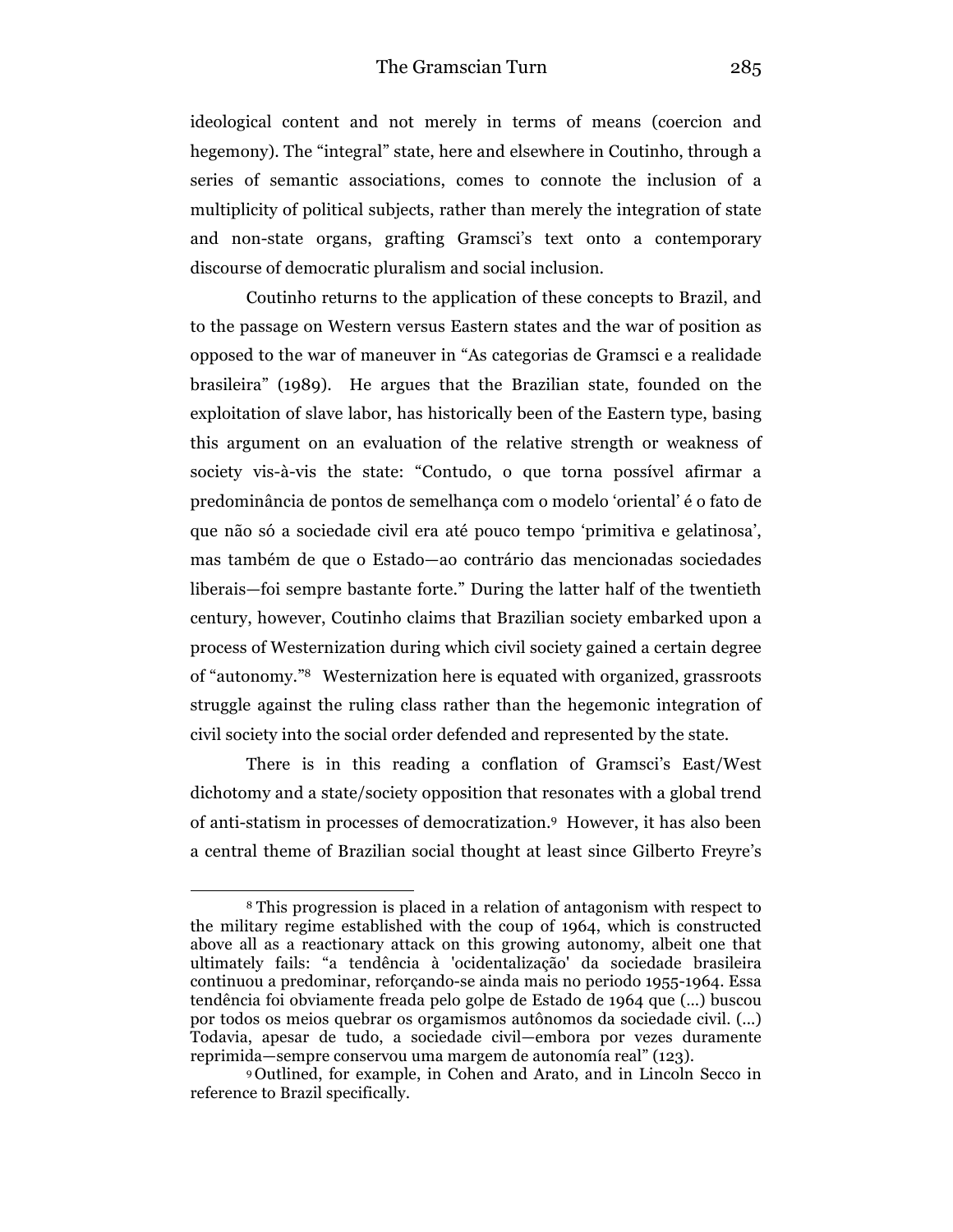ideological content and not merely in terms of means (coercion and hegemony). The "integral" state, here and elsewhere in Coutinho, through a series of semantic associations, comes to connote the inclusion of a multiplicity of political subjects, rather than merely the integration of state and non-state organs, grafting Gramsci's text onto a contemporary discourse of democratic pluralism and social inclusion.

Coutinho returns to the application of these concepts to Brazil, and to the passage on Western versus Eastern states and the war of position as opposed to the war of maneuver in "As categorias de Gramsci e a realidade brasileira" (1989). He argues that the Brazilian state, founded on the exploitation of slave labor, has historically been of the Eastern type, basing this argument on an evaluation of the relative strength or weakness of society vis-à-vis the state: "Contudo, o que torna possível afirmar a predominância de pontos de semelhança com o modelo 'oriental' é o fato de que não só a sociedade civil era até pouco tempo 'primitiva e gelatinosa', mas também de que o Estado—ao contrário das mencionadas sociedades liberais—foi sempre bastante forte." During the latter half of the twentieth century, however, Coutinho claims that Brazilian society embarked upon a process of Westernization during which civil society gained a certain degree of "autonomy."8 Westernization here is equated with organized, grassroots struggle against the ruling class rather than the hegemonic integration of civil society into the social order defended and represented by the state.

There is in this reading a conflation of Gramsci's East/West dichotomy and a state/society opposition that resonates with a global trend of anti-statism in processes of democratization. <sup>9</sup> However, it has also been a central theme of Brazilian social thought at least since Gilberto Freyre's

<sup>8</sup> This progression is placed in a relation of antagonism with respect to the military regime established with the coup of 1964, which is constructed above all as a reactionary attack on this growing autonomy, albeit one that ultimately fails: "a tendência à 'ocidentalização' da sociedade brasileira continuou a predominar, reforçando-se ainda mais no periodo 1955-1964. Essa tendência foi obviamente freada pelo golpe de Estado de 1964 que (...) buscou por todos os meios quebrar os orgamismos autônomos da sociedade civil. (...) Todavia, apesar de tudo, a sociedade civil—embora por vezes duramente reprimida—sempre conservou uma margem de autonomía real" (123).

<sup>9</sup> Outlined, for example, in Cohen and Arato, and in Lincoln Secco in reference to Brazil specifically.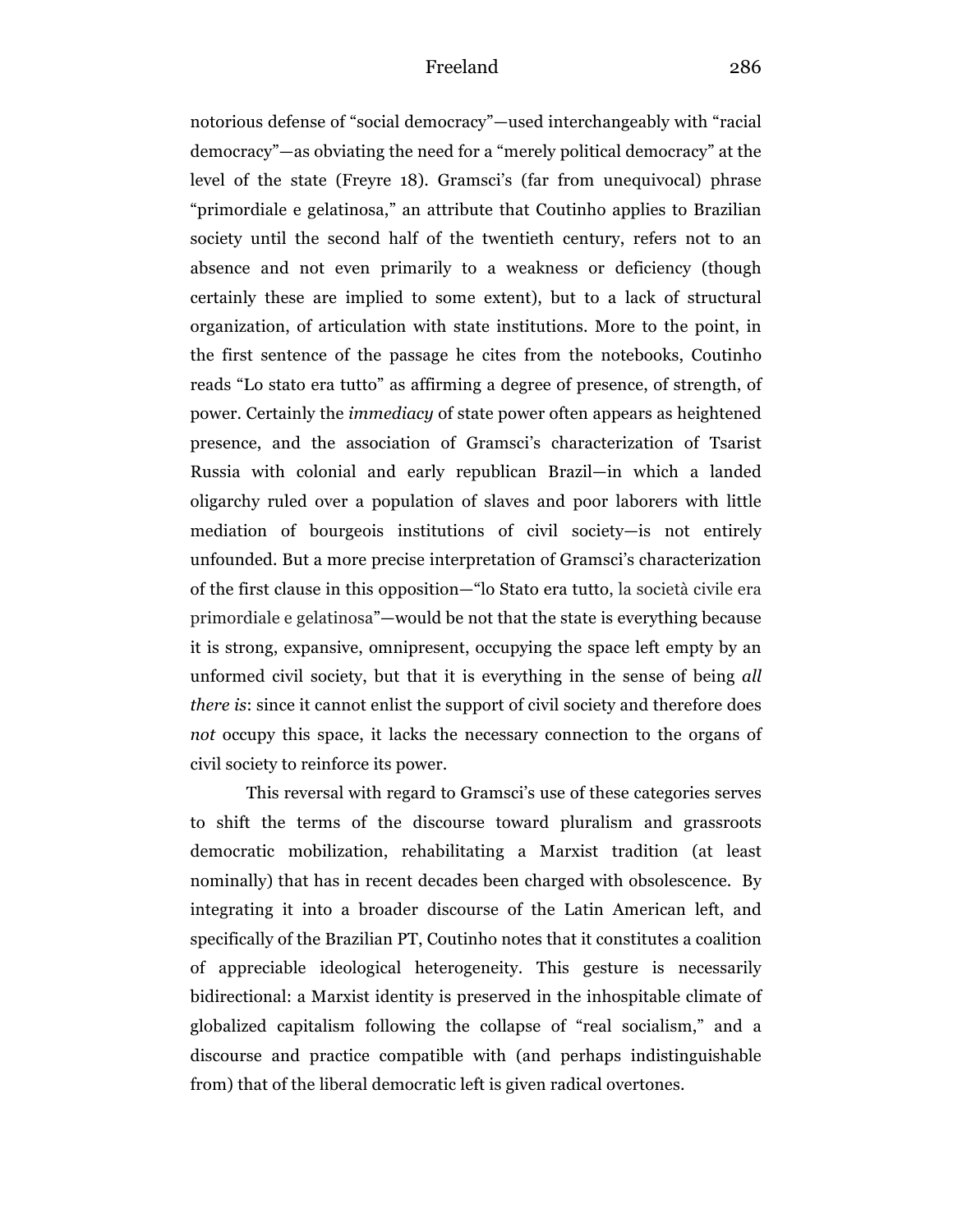notorious defense of "social democracy"—used interchangeably with "racial democracy"—as obviating the need for a "merely political democracy" at the level of the state (Freyre 18). Gramsci's (far from unequivocal) phrase "primordiale e gelatinosa," an attribute that Coutinho applies to Brazilian society until the second half of the twentieth century, refers not to an absence and not even primarily to a weakness or deficiency (though certainly these are implied to some extent), but to a lack of structural organization, of articulation with state institutions. More to the point, in the first sentence of the passage he cites from the notebooks, Coutinho reads "Lo stato era tutto" as affirming a degree of presence, of strength, of power. Certainly the *immediacy* of state power often appears as heightened presence, and the association of Gramsci's characterization of Tsarist Russia with colonial and early republican Brazil—in which a landed oligarchy ruled over a population of slaves and poor laborers with little mediation of bourgeois institutions of civil society—is not entirely unfounded. But a more precise interpretation of Gramsci's characterization of the first clause in this opposition—"lo Stato era tutto, la società civile era primordiale e gelatinosa"—would be not that the state is everything because it is strong, expansive, omnipresent, occupying the space left empty by an unformed civil society, but that it is everything in the sense of being *all there is*: since it cannot enlist the support of civil society and therefore does *not* occupy this space, it lacks the necessary connection to the organs of civil society to reinforce its power.

This reversal with regard to Gramsci's use of these categories serves to shift the terms of the discourse toward pluralism and grassroots democratic mobilization, rehabilitating a Marxist tradition (at least nominally) that has in recent decades been charged with obsolescence. By integrating it into a broader discourse of the Latin American left, and specifically of the Brazilian PT, Coutinho notes that it constitutes a coalition of appreciable ideological heterogeneity. This gesture is necessarily bidirectional: a Marxist identity is preserved in the inhospitable climate of globalized capitalism following the collapse of "real socialism," and a discourse and practice compatible with (and perhaps indistinguishable from) that of the liberal democratic left is given radical overtones.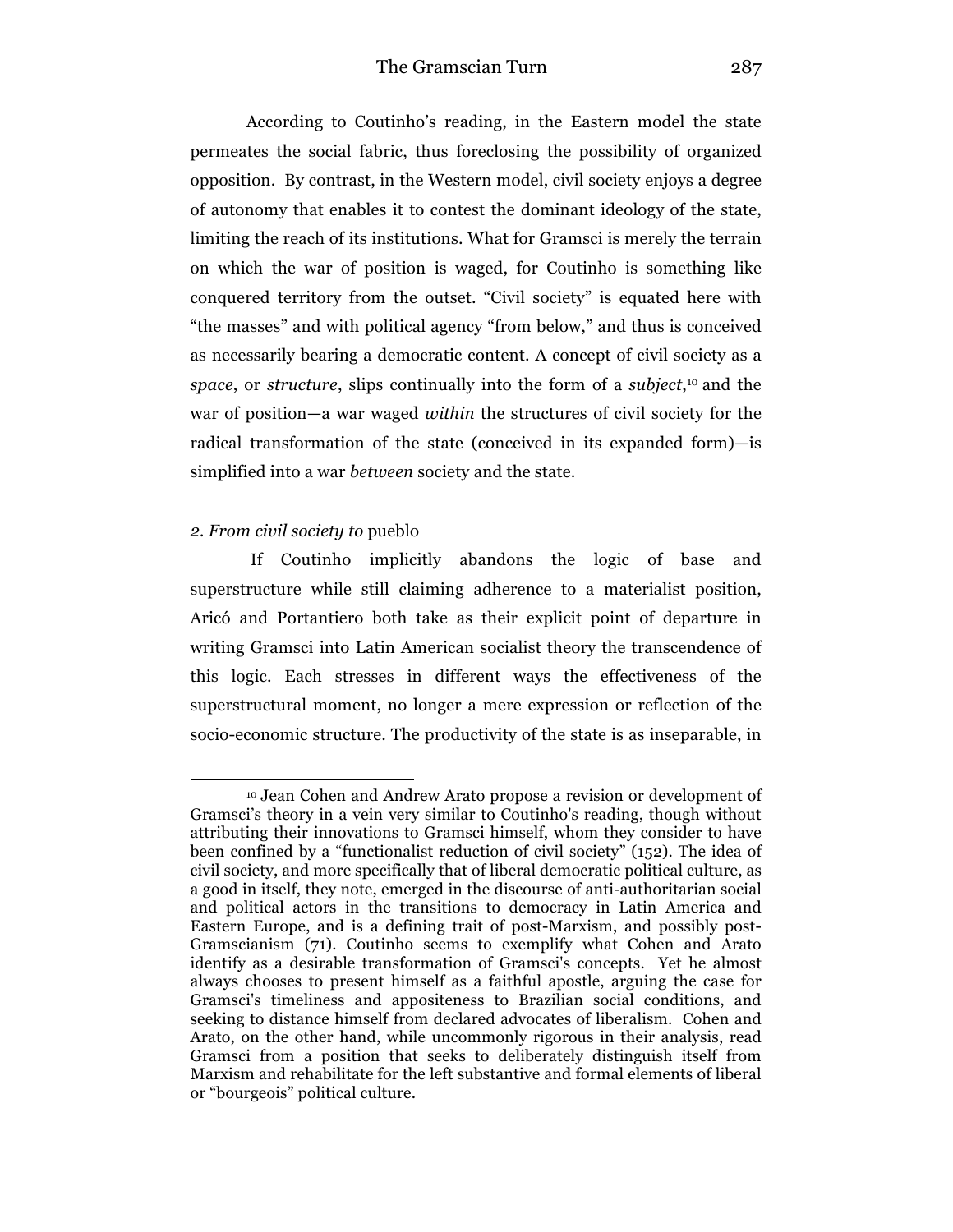According to Coutinho's reading, in the Eastern model the state permeates the social fabric, thus foreclosing the possibility of organized opposition. By contrast, in the Western model, civil society enjoys a degree of autonomy that enables it to contest the dominant ideology of the state, limiting the reach of its institutions. What for Gramsci is merely the terrain on which the war of position is waged, for Coutinho is something like conquered territory from the outset. "Civil society" is equated here with "the masses" and with political agency "from below," and thus is conceived as necessarily bearing a democratic content. A concept of civil society as a *space*, or *structure*, slips continually into the form of a *subject*, <sup>10</sup> and the war of position—a war waged *within* the structures of civil society for the radical transformation of the state (conceived in its expanded form)—is simplified into a war *between* society and the state.

#### *2. From civil society to* pueblo

 $\overline{a}$ 

If Coutinho implicitly abandons the logic of base and superstructure while still claiming adherence to a materialist position, Aricó and Portantiero both take as their explicit point of departure in writing Gramsci into Latin American socialist theory the transcendence of this logic. Each stresses in different ways the effectiveness of the superstructural moment, no longer a mere expression or reflection of the socio-economic structure. The productivity of the state is as inseparable, in

<sup>10</sup> Jean Cohen and Andrew Arato propose a revision or development of Gramsci's theory in a vein very similar to Coutinho's reading, though without attributing their innovations to Gramsci himself, whom they consider to have been confined by a "functionalist reduction of civil society" (152). The idea of civil society, and more specifically that of liberal democratic political culture, as a good in itself, they note, emerged in the discourse of anti-authoritarian social and political actors in the transitions to democracy in Latin America and Eastern Europe, and is a defining trait of post-Marxism, and possibly post-Gramscianism (71). Coutinho seems to exemplify what Cohen and Arato identify as a desirable transformation of Gramsci's concepts. Yet he almost always chooses to present himself as a faithful apostle, arguing the case for Gramsci's timeliness and appositeness to Brazilian social conditions, and seeking to distance himself from declared advocates of liberalism. Cohen and Arato, on the other hand, while uncommonly rigorous in their analysis, read Gramsci from a position that seeks to deliberately distinguish itself from Marxism and rehabilitate for the left substantive and formal elements of liberal or "bourgeois" political culture.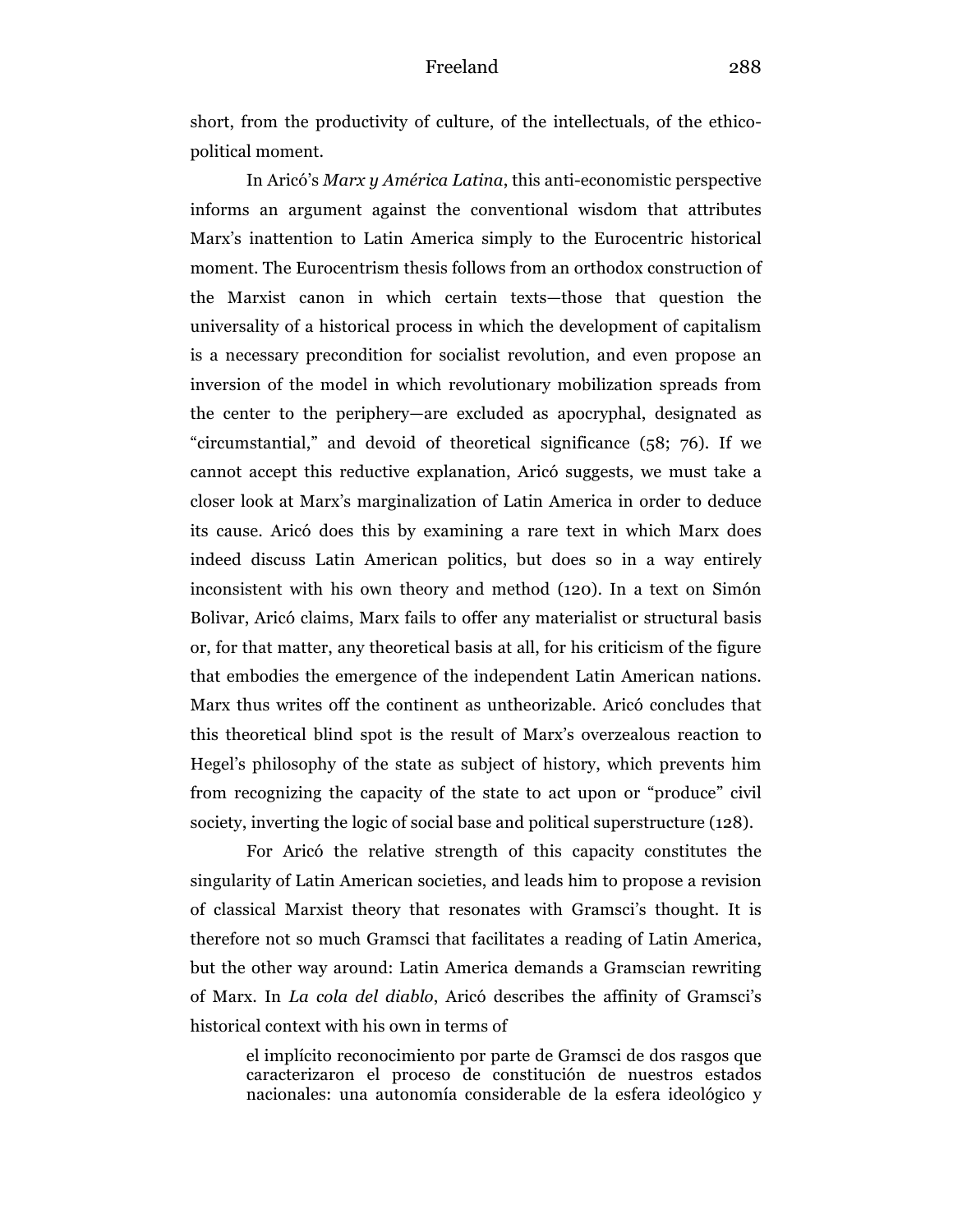short, from the productivity of culture, of the intellectuals, of the ethicopolitical moment.

In Aricó's *Marx y América Latina*, this anti-economistic perspective informs an argument against the conventional wisdom that attributes Marx's inattention to Latin America simply to the Eurocentric historical moment. The Eurocentrism thesis follows from an orthodox construction of the Marxist canon in which certain texts—those that question the universality of a historical process in which the development of capitalism is a necessary precondition for socialist revolution, and even propose an inversion of the model in which revolutionary mobilization spreads from the center to the periphery—are excluded as apocryphal, designated as "circumstantial," and devoid of theoretical significance (58; 76). If we cannot accept this reductive explanation, Aricó suggests, we must take a closer look at Marx's marginalization of Latin America in order to deduce its cause. Aricó does this by examining a rare text in which Marx does indeed discuss Latin American politics, but does so in a way entirely inconsistent with his own theory and method (120). In a text on Simón Bolivar, Aricó claims, Marx fails to offer any materialist or structural basis or, for that matter, any theoretical basis at all, for his criticism of the figure that embodies the emergence of the independent Latin American nations. Marx thus writes off the continent as untheorizable. Aricó concludes that this theoretical blind spot is the result of Marx's overzealous reaction to Hegel's philosophy of the state as subject of history, which prevents him from recognizing the capacity of the state to act upon or "produce" civil society, inverting the logic of social base and political superstructure (128).

For Aricó the relative strength of this capacity constitutes the singularity of Latin American societies, and leads him to propose a revision of classical Marxist theory that resonates with Gramsci's thought. It is therefore not so much Gramsci that facilitates a reading of Latin America, but the other way around: Latin America demands a Gramscian rewriting of Marx. In *La cola del diablo*, Aricó describes the affinity of Gramsci's historical context with his own in terms of

el implícito reconocimiento por parte de Gramsci de dos rasgos que caracterizaron el proceso de constitución de nuestros estados nacionales: una autonomía considerable de la esfera ideológico y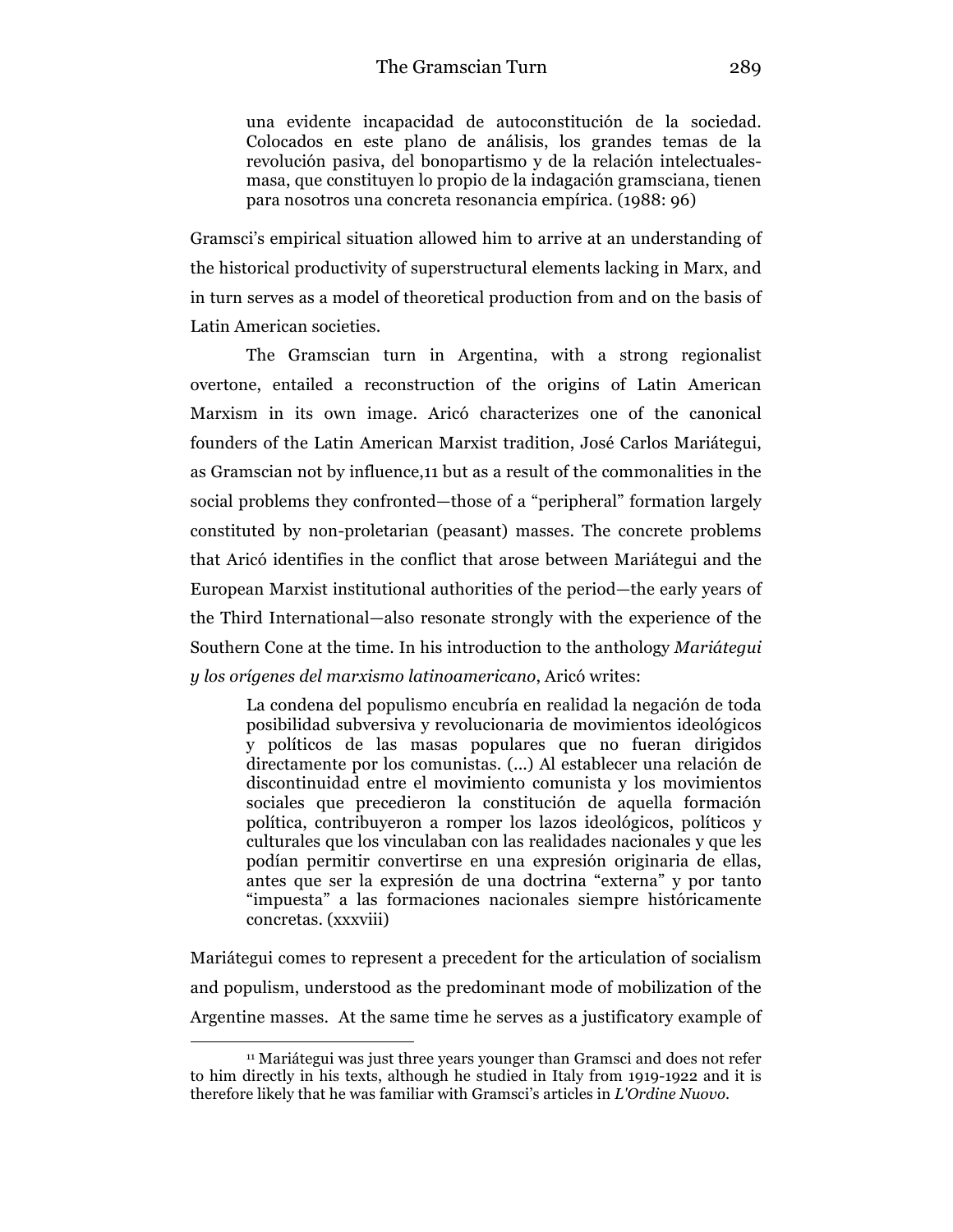una evidente incapacidad de autoconstitución de la sociedad. Colocados en este plano de análisis, los grandes temas de la revolución pasiva, del bonopartismo y de la relación intelectualesmasa, que constituyen lo propio de la indagación gramsciana, tienen para nosotros una concreta resonancia empírica. (1988: 96)

Gramsci's empirical situation allowed him to arrive at an understanding of the historical productivity of superstructural elements lacking in Marx, and in turn serves as a model of theoretical production from and on the basis of Latin American societies.

The Gramscian turn in Argentina, with a strong regionalist overtone, entailed a reconstruction of the origins of Latin American Marxism in its own image. Aricó characterizes one of the canonical founders of the Latin American Marxist tradition, José Carlos Mariátegui, as Gramscian not by influence,11 but as a result of the commonalities in the social problems they confronted—those of a "peripheral" formation largely constituted by non-proletarian (peasant) masses. The concrete problems that Aricó identifies in the conflict that arose between Mariátegui and the European Marxist institutional authorities of the period—the early years of the Third International—also resonate strongly with the experience of the Southern Cone at the time. In his introduction to the anthology *Mariátegui y los orígenes del marxismo latinoamericano*, Aricó writes:

La condena del populismo encubría en realidad la negación de toda posibilidad subversiva y revolucionaria de movimientos ideológicos y políticos de las masas populares que no fueran dirigidos directamente por los comunistas. (...) Al establecer una relación de discontinuidad entre el movimiento comunista y los movimientos sociales que precedieron la constitución de aquella formación política, contribuyeron a romper los lazos ideológicos, políticos y culturales que los vinculaban con las realidades nacionales y que les podían permitir convertirse en una expresión originaria de ellas, antes que ser la expresión de una doctrina "externa" y por tanto "impuesta" a las formaciones nacionales siempre históricamente concretas. (xxxviii)

Mariátegui comes to represent a precedent for the articulation of socialism and populism, understood as the predominant mode of mobilization of the Argentine masses. At the same time he serves as a justificatory example of

<sup>11</sup> Mariátegui was just three years younger than Gramsci and does not refer to him directly in his texts, although he studied in Italy from 1919-1922 and it is therefore likely that he was familiar with Gramsci's articles in *L'Ordine Nuovo*.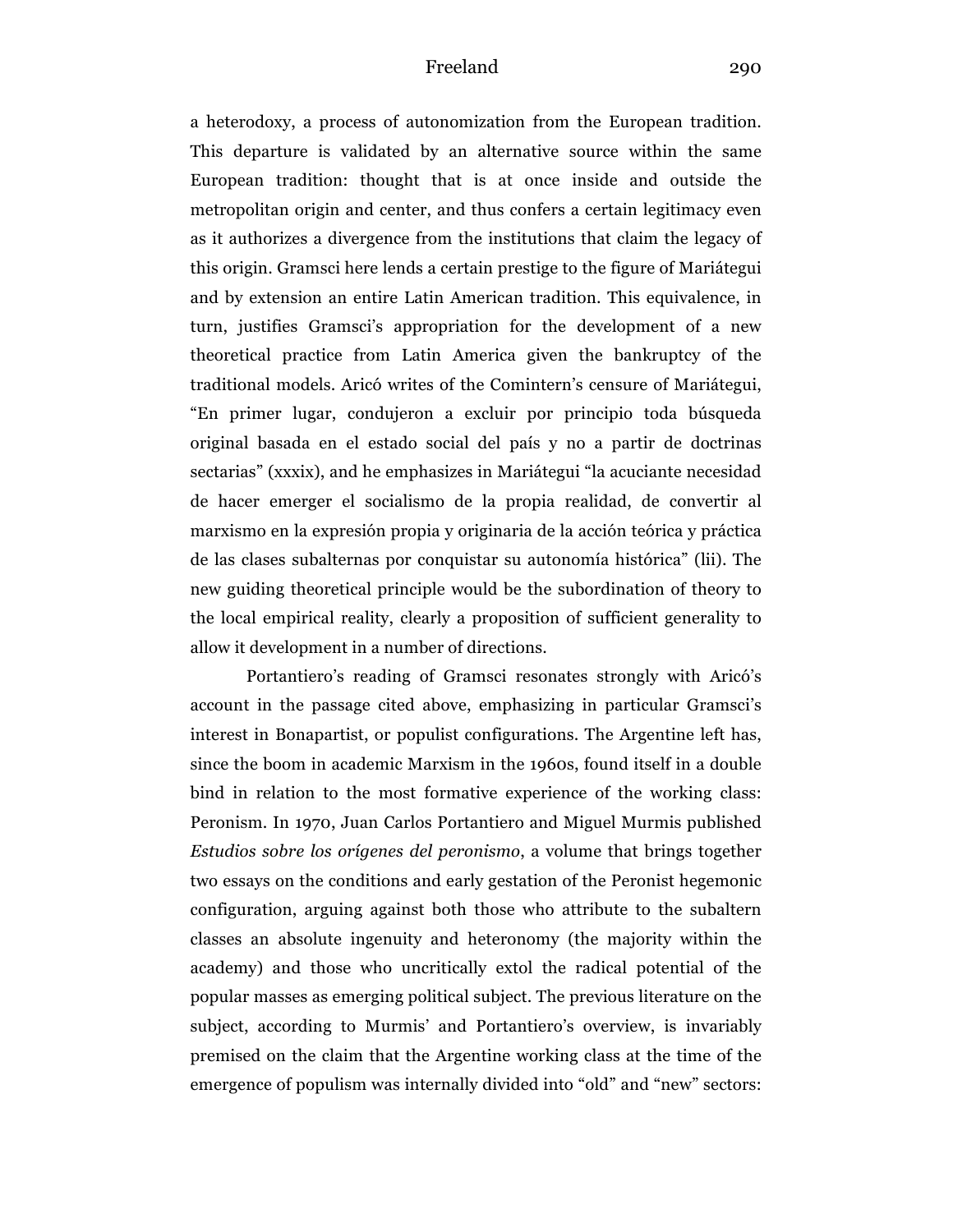a heterodoxy, a process of autonomization from the European tradition. This departure is validated by an alternative source within the same European tradition: thought that is at once inside and outside the metropolitan origin and center, and thus confers a certain legitimacy even as it authorizes a divergence from the institutions that claim the legacy of this origin. Gramsci here lends a certain prestige to the figure of Mariátegui and by extension an entire Latin American tradition. This equivalence, in turn, justifies Gramsci's appropriation for the development of a new theoretical practice from Latin America given the bankruptcy of the traditional models. Aricó writes of the Comintern's censure of Mariátegui, "En primer lugar, condujeron a excluir por principio toda búsqueda original basada en el estado social del país y no a partir de doctrinas sectarias" (xxxix), and he emphasizes in Mariátegui "la acuciante necesidad de hacer emerger el socialismo de la propia realidad, de convertir al marxismo en la expresión propia y originaria de la acción teórica y práctica de las clases subalternas por conquistar su autonomía histórica" (lii). The new guiding theoretical principle would be the subordination of theory to the local empirical reality, clearly a proposition of sufficient generality to allow it development in a number of directions.

Portantiero's reading of Gramsci resonates strongly with Aricó's account in the passage cited above, emphasizing in particular Gramsci's interest in Bonapartist, or populist configurations. The Argentine left has, since the boom in academic Marxism in the 1960s, found itself in a double bind in relation to the most formative experience of the working class: Peronism. In 1970, Juan Carlos Portantiero and Miguel Murmis published *Estudios sobre los orígenes del peronismo*, a volume that brings together two essays on the conditions and early gestation of the Peronist hegemonic configuration, arguing against both those who attribute to the subaltern classes an absolute ingenuity and heteronomy (the majority within the academy) and those who uncritically extol the radical potential of the popular masses as emerging political subject. The previous literature on the subject, according to Murmis' and Portantiero's overview, is invariably premised on the claim that the Argentine working class at the time of the emergence of populism was internally divided into "old" and "new" sectors: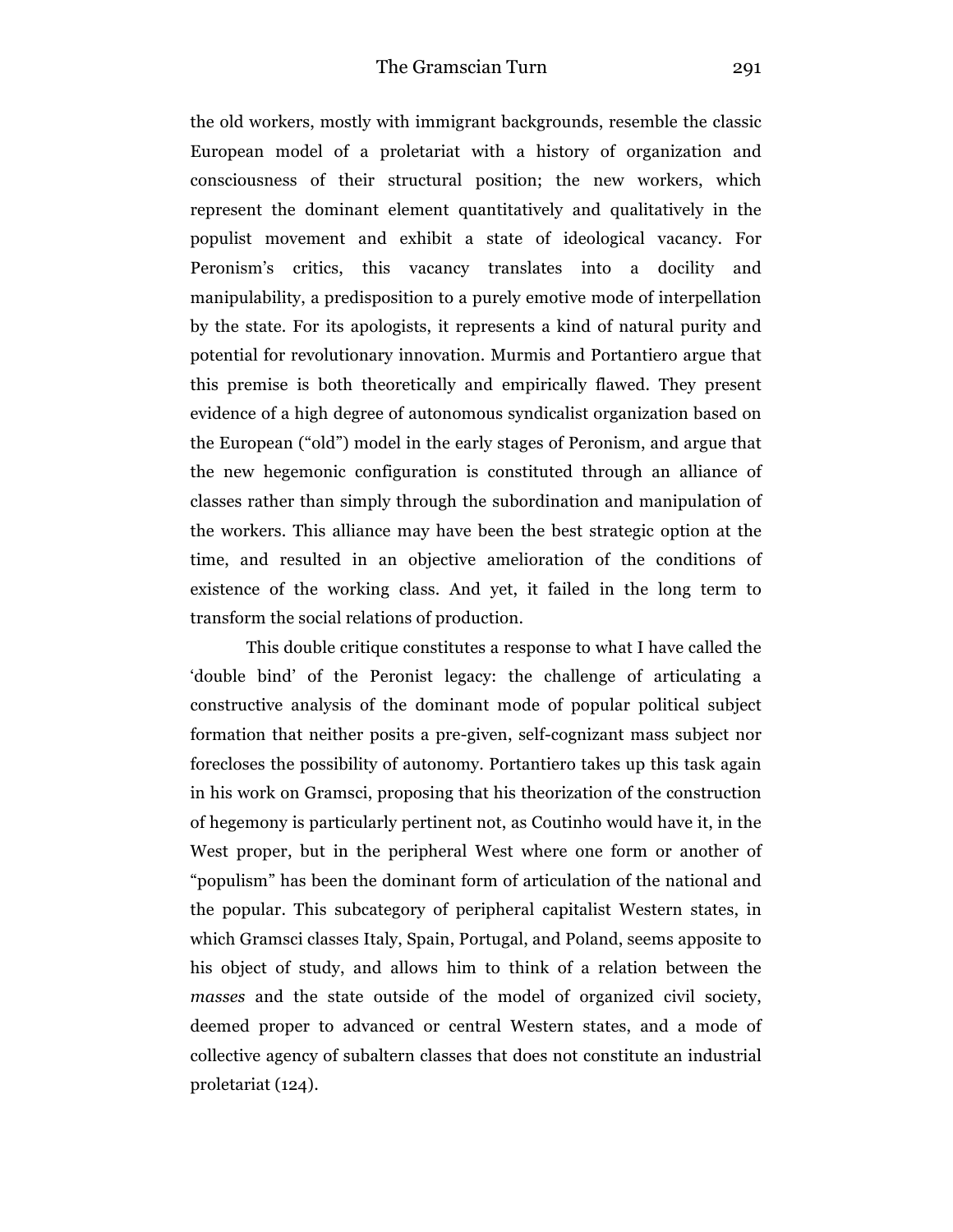the old workers, mostly with immigrant backgrounds, resemble the classic European model of a proletariat with a history of organization and consciousness of their structural position; the new workers, which represent the dominant element quantitatively and qualitatively in the populist movement and exhibit a state of ideological vacancy. For Peronism's critics, this vacancy translates into a docility and manipulability, a predisposition to a purely emotive mode of interpellation by the state. For its apologists, it represents a kind of natural purity and potential for revolutionary innovation. Murmis and Portantiero argue that this premise is both theoretically and empirically flawed. They present evidence of a high degree of autonomous syndicalist organization based on the European ("old") model in the early stages of Peronism, and argue that the new hegemonic configuration is constituted through an alliance of classes rather than simply through the subordination and manipulation of the workers. This alliance may have been the best strategic option at the time, and resulted in an objective amelioration of the conditions of existence of the working class. And yet, it failed in the long term to transform the social relations of production.

This double critique constitutes a response to what I have called the 'double bind' of the Peronist legacy: the challenge of articulating a constructive analysis of the dominant mode of popular political subject formation that neither posits a pre-given, self-cognizant mass subject nor forecloses the possibility of autonomy. Portantiero takes up this task again in his work on Gramsci, proposing that his theorization of the construction of hegemony is particularly pertinent not, as Coutinho would have it, in the West proper, but in the peripheral West where one form or another of "populism" has been the dominant form of articulation of the national and the popular. This subcategory of peripheral capitalist Western states, in which Gramsci classes Italy, Spain, Portugal, and Poland, seems apposite to his object of study, and allows him to think of a relation between the *masses* and the state outside of the model of organized civil society, deemed proper to advanced or central Western states, and a mode of collective agency of subaltern classes that does not constitute an industrial proletariat (124).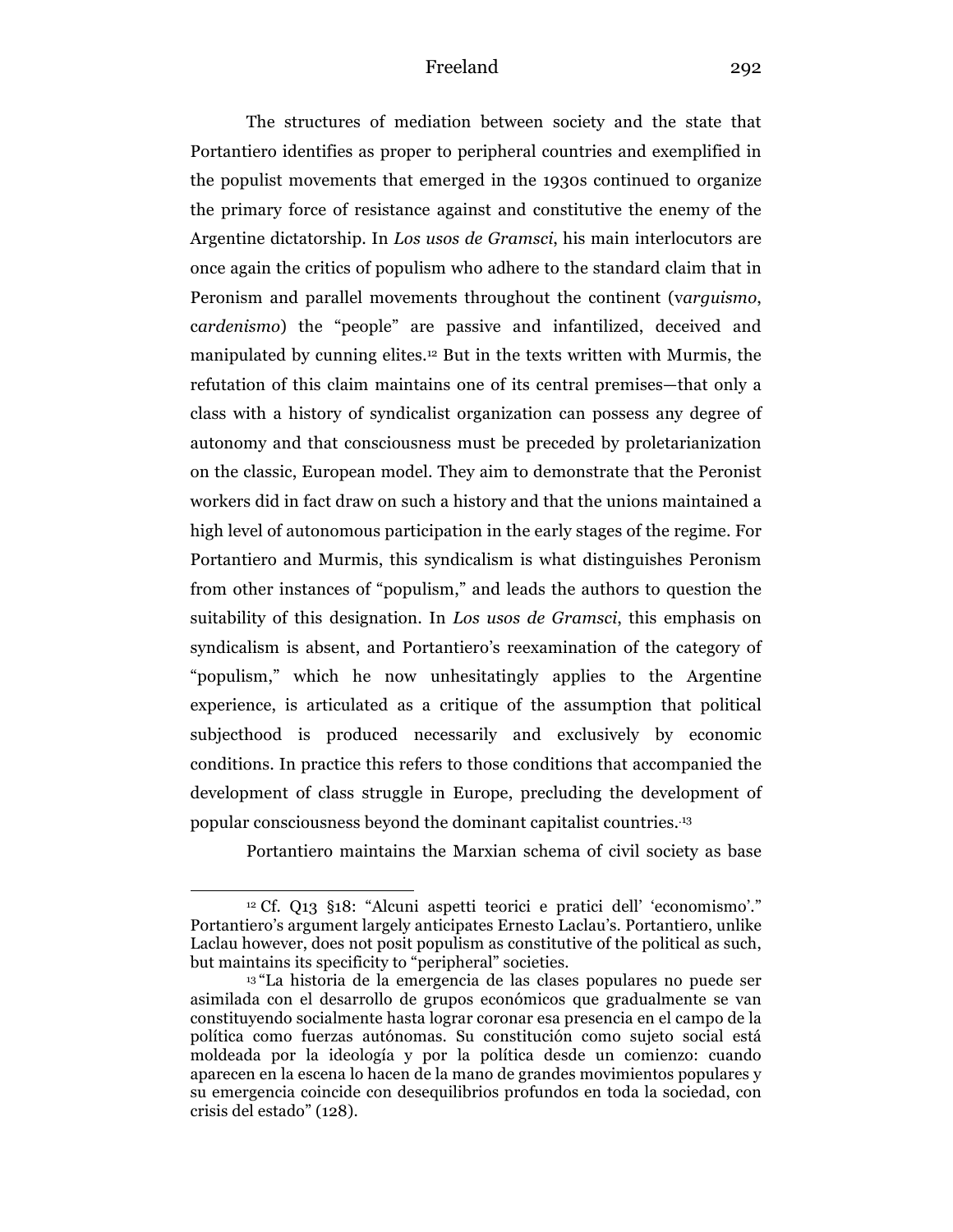The structures of mediation between society and the state that Portantiero identifies as proper to peripheral countries and exemplified in the populist movements that emerged in the 1930s continued to organize the primary force of resistance against and constitutive the enemy of the Argentine dictatorship. In *Los usos de Gramsci*, his main interlocutors are once again the critics of populism who adhere to the standard claim that in Peronism and parallel movements throughout the continent (v*arguismo*, c*ardenismo*) the "people" are passive and infantilized, deceived and manipulated by cunning elites.<sup>12</sup> But in the texts written with Murmis, the refutation of this claim maintains one of its central premises—that only a class with a history of syndicalist organization can possess any degree of autonomy and that consciousness must be preceded by proletarianization on the classic, European model. They aim to demonstrate that the Peronist workers did in fact draw on such a history and that the unions maintained a high level of autonomous participation in the early stages of the regime. For Portantiero and Murmis, this syndicalism is what distinguishes Peronism from other instances of "populism," and leads the authors to question the suitability of this designation. In *Los usos de Gramsci*, this emphasis on syndicalism is absent, and Portantiero's reexamination of the category of "populism," which he now unhesitatingly applies to the Argentine experience, is articulated as a critique of the assumption that political subjecthood is produced necessarily and exclusively by economic conditions. In practice this refers to those conditions that accompanied the development of class struggle in Europe, precluding the development of popular consciousness beyond the dominant capitalist countries. .13

Portantiero maintains the Marxian schema of civil society as base

<sup>12</sup> Cf. Q13 §18: "Alcuni aspetti teorici e pratici dell' 'economismo'." Portantiero's argument largely anticipates Ernesto Laclau's. Portantiero, unlike Laclau however, does not posit populism as constitutive of the political as such, but maintains its specificity to "peripheral" societies.

<sup>13</sup> "La historia de la emergencia de las clases populares no puede ser asimilada con el desarrollo de grupos económicos que gradualmente se van constituyendo socialmente hasta lograr coronar esa presencia en el campo de la política como fuerzas autónomas. Su constitución como sujeto social está moldeada por la ideología y por la política desde un comienzo: cuando aparecen en la escena lo hacen de la mano de grandes movimientos populares y su emergencia coincide con desequilibrios profundos en toda la sociedad, con crisis del estado" (128).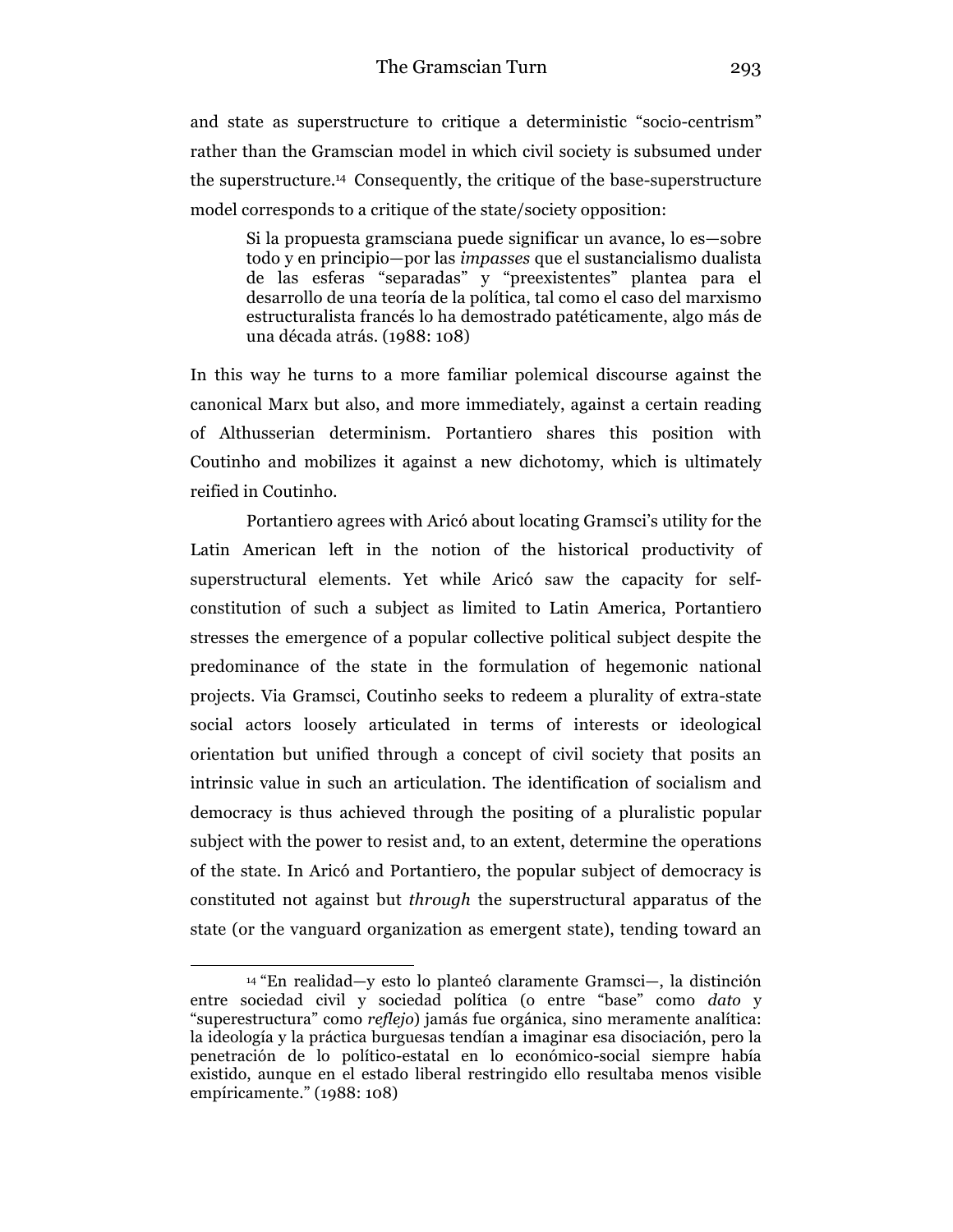and state as superstructure to critique a deterministic "socio-centrism" rather than the Gramscian model in which civil society is subsumed under the superstructure. <sup>14</sup> Consequently, the critique of the base-superstructure model corresponds to a critique of the state/society opposition:

Si la propuesta gramsciana puede significar un avance, lo es—sobre todo y en principio—por las *impasses* que el sustancialismo dualista de las esferas "separadas" y "preexistentes" plantea para el desarrollo de una teoría de la política, tal como el caso del marxismo estructuralista francés lo ha demostrado patéticamente, algo más de una década atrás. (1988: 108)

In this way he turns to a more familiar polemical discourse against the canonical Marx but also, and more immediately, against a certain reading of Althusserian determinism. Portantiero shares this position with Coutinho and mobilizes it against a new dichotomy, which is ultimately reified in Coutinho.

Portantiero agrees with Aricó about locating Gramsci's utility for the Latin American left in the notion of the historical productivity of superstructural elements. Yet while Aricó saw the capacity for selfconstitution of such a subject as limited to Latin America, Portantiero stresses the emergence of a popular collective political subject despite the predominance of the state in the formulation of hegemonic national projects. Via Gramsci, Coutinho seeks to redeem a plurality of extra-state social actors loosely articulated in terms of interests or ideological orientation but unified through a concept of civil society that posits an intrinsic value in such an articulation. The identification of socialism and democracy is thus achieved through the positing of a pluralistic popular subject with the power to resist and, to an extent, determine the operations of the state. In Aricó and Portantiero, the popular subject of democracy is constituted not against but *through* the superstructural apparatus of the state (or the vanguard organization as emergent state), tending toward an

<sup>14</sup> "En realidad—y esto lo planteó claramente Gramsci—, la distinción entre sociedad civil y sociedad política (o entre "base" como *dato* y "superestructura" como *reflejo*) jamás fue orgánica, sino meramente analítica: la ideología y la práctica burguesas tendían a imaginar esa disociación, pero la penetración de lo político-estatal en lo económico-social siempre había existido, aunque en el estado liberal restringido ello resultaba menos visible empíricamente." (1988: 108)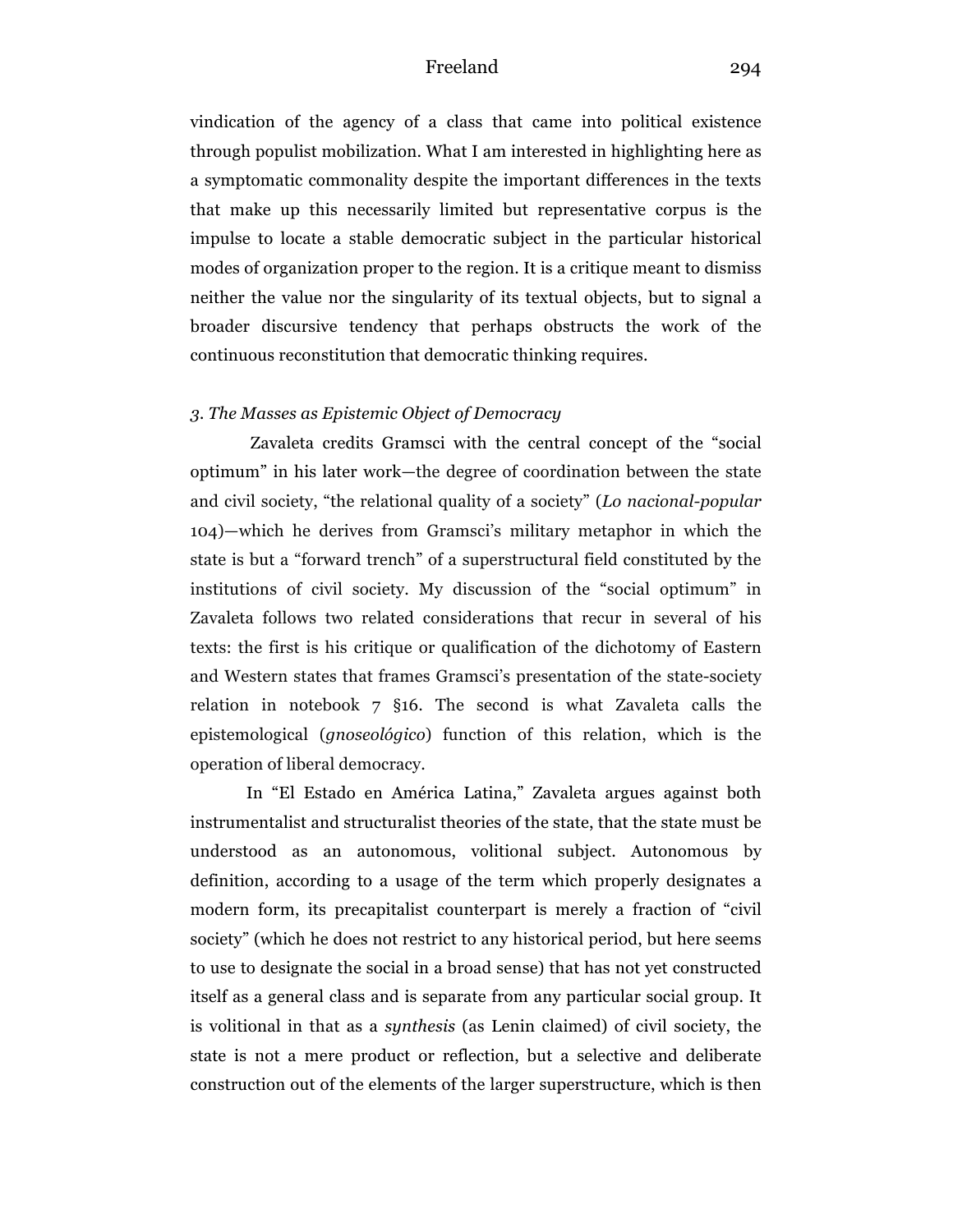vindication of the agency of a class that came into political existence through populist mobilization. What I am interested in highlighting here as a symptomatic commonality despite the important differences in the texts that make up this necessarily limited but representative corpus is the impulse to locate a stable democratic subject in the particular historical modes of organization proper to the region. It is a critique meant to dismiss neither the value nor the singularity of its textual objects, but to signal a broader discursive tendency that perhaps obstructs the work of the continuous reconstitution that democratic thinking requires.

### *3. The Masses as Epistemic Object of Democracy*

Zavaleta credits Gramsci with the central concept of the "social optimum" in his later work—the degree of coordination between the state and civil society, "the relational quality of a society" (*Lo nacional-popular* 104)—which he derives from Gramsci's military metaphor in which the state is but a "forward trench" of a superstructural field constituted by the institutions of civil society. My discussion of the "social optimum" in Zavaleta follows two related considerations that recur in several of his texts: the first is his critique or qualification of the dichotomy of Eastern and Western states that frames Gramsci's presentation of the state-society relation in notebook 7 §16. The second is what Zavaleta calls the epistemological (*gnoseológico*) function of this relation, which is the operation of liberal democracy.

In "El Estado en América Latina," Zavaleta argues against both instrumentalist and structuralist theories of the state, that the state must be understood as an autonomous, volitional subject. Autonomous by definition, according to a usage of the term which properly designates a modern form, its precapitalist counterpart is merely a fraction of "civil society" (which he does not restrict to any historical period, but here seems to use to designate the social in a broad sense) that has not yet constructed itself as a general class and is separate from any particular social group. It is volitional in that as a *synthesis* (as Lenin claimed) of civil society, the state is not a mere product or reflection, but a selective and deliberate construction out of the elements of the larger superstructure, which is then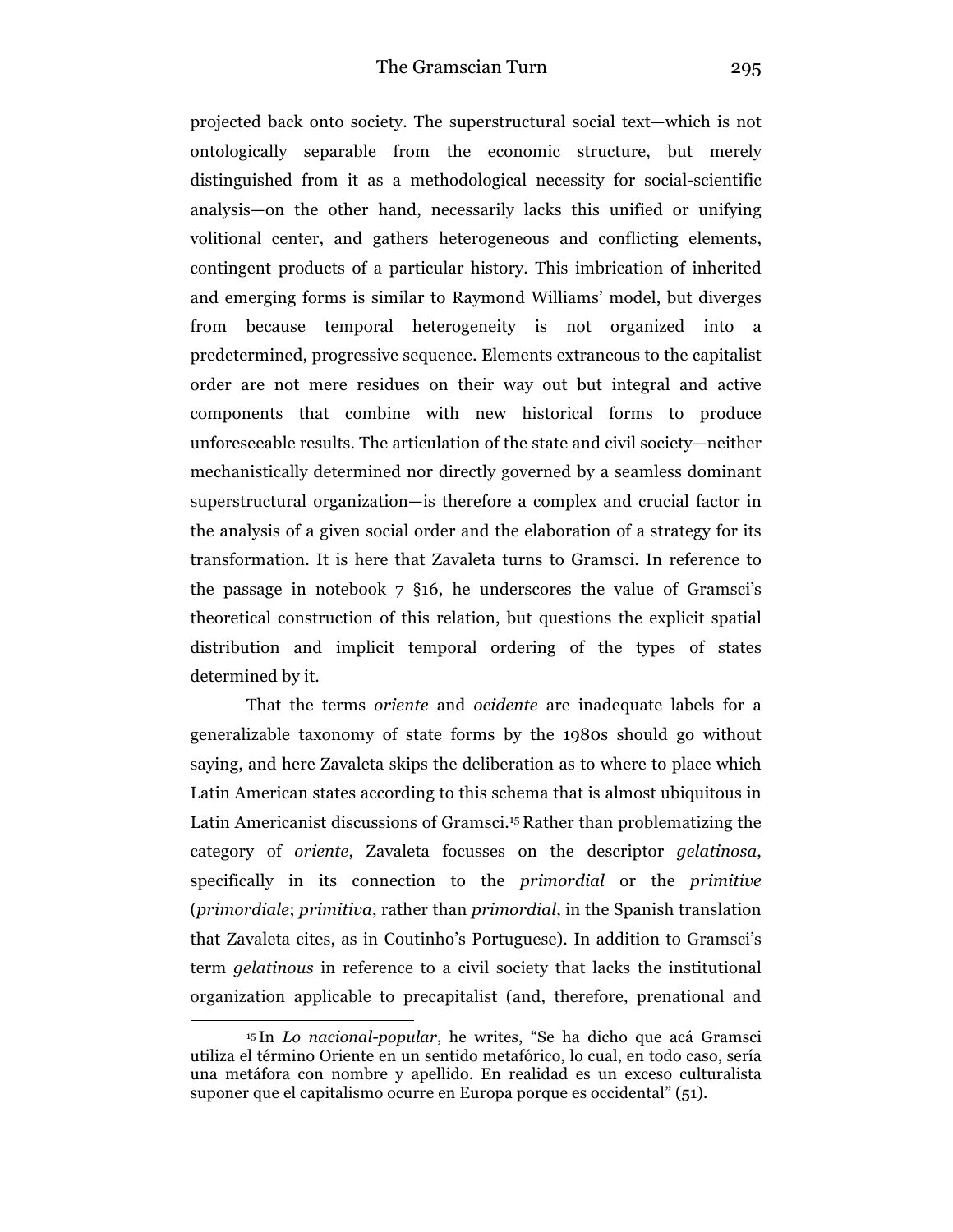projected back onto society. The superstructural social text—which is not ontologically separable from the economic structure, but merely distinguished from it as a methodological necessity for social-scientific analysis—on the other hand, necessarily lacks this unified or unifying volitional center, and gathers heterogeneous and conflicting elements, contingent products of a particular history. This imbrication of inherited and emerging forms is similar to Raymond Williams' model, but diverges from because temporal heterogeneity is not organized into a predetermined, progressive sequence. Elements extraneous to the capitalist order are not mere residues on their way out but integral and active components that combine with new historical forms to produce unforeseeable results. The articulation of the state and civil society—neither mechanistically determined nor directly governed by a seamless dominant superstructural organization—is therefore a complex and crucial factor in the analysis of a given social order and the elaboration of a strategy for its transformation. It is here that Zavaleta turns to Gramsci. In reference to the passage in notebook 7 §16, he underscores the value of Gramsci's theoretical construction of this relation, but questions the explicit spatial distribution and implicit temporal ordering of the types of states determined by it.

That the terms *oriente* and *ocidente* are inadequate labels for a generalizable taxonomy of state forms by the 1980s should go without saying, and here Zavaleta skips the deliberation as to where to place which Latin American states according to this schema that is almost ubiquitous in Latin Americanist discussions of Gramsci.15 Rather than problematizing the category of *oriente*, Zavaleta focusses on the descriptor *gelatinosa*, specifically in its connection to the *primordial* or the *primitive* (*primordiale*; *primitiva*, rather than *primordial*, in the Spanish translation that Zavaleta cites, as in Coutinho's Portuguese). In addition to Gramsci's term *gelatinous* in reference to a civil society that lacks the institutional organization applicable to precapitalist (and, therefore, prenational and

<sup>15</sup> In *Lo nacional-popular*, he writes, "Se ha dicho que acá Gramsci utiliza el término Oriente en un sentido metafórico, lo cual, en todo caso, sería una metáfora con nombre y apellido. En realidad es un exceso culturalista suponer que el capitalismo ocurre en Europa porque es occidental" (51).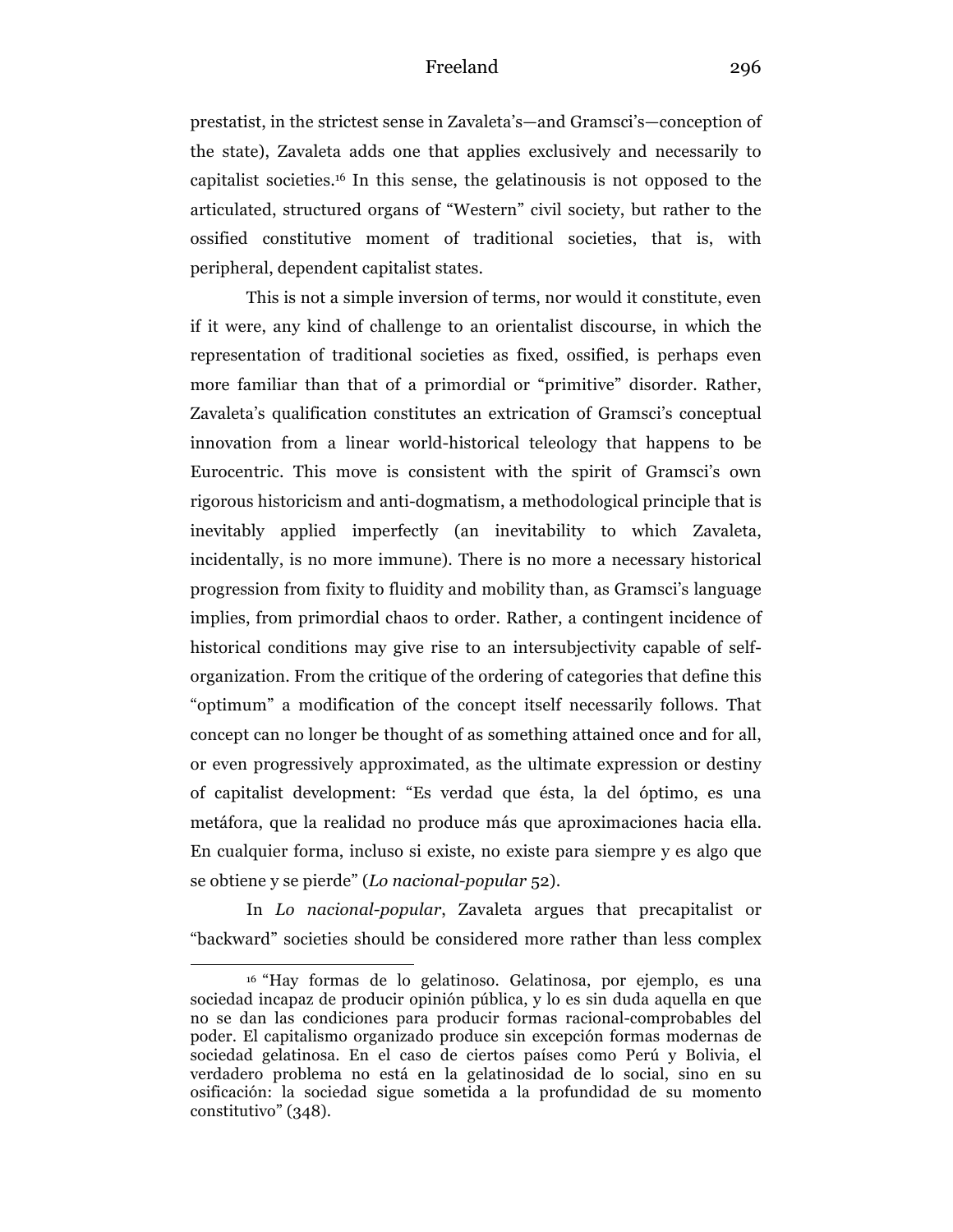prestatist, in the strictest sense in Zavaleta's—and Gramsci's—conception of the state), Zavaleta adds one that applies exclusively and necessarily to capitalist societies.16 In this sense, the gelatinousis is not opposed to the articulated, structured organs of "Western" civil society, but rather to the ossified constitutive moment of traditional societies, that is, with peripheral, dependent capitalist states.

This is not a simple inversion of terms, nor would it constitute, even if it were, any kind of challenge to an orientalist discourse, in which the representation of traditional societies as fixed, ossified, is perhaps even more familiar than that of a primordial or "primitive" disorder. Rather, Zavaleta's qualification constitutes an extrication of Gramsci's conceptual innovation from a linear world-historical teleology that happens to be Eurocentric. This move is consistent with the spirit of Gramsci's own rigorous historicism and anti-dogmatism, a methodological principle that is inevitably applied imperfectly (an inevitability to which Zavaleta, incidentally, is no more immune). There is no more a necessary historical progression from fixity to fluidity and mobility than, as Gramsci's language implies, from primordial chaos to order. Rather, a contingent incidence of historical conditions may give rise to an intersubjectivity capable of selforganization. From the critique of the ordering of categories that define this "optimum" a modification of the concept itself necessarily follows. That concept can no longer be thought of as something attained once and for all, or even progressively approximated, as the ultimate expression or destiny of capitalist development: "Es verdad que ésta, la del óptimo, es una metáfora, que la realidad no produce más que aproximaciones hacia ella. En cualquier forma, incluso si existe, no existe para siempre y es algo que se obtiene y se pierde" (*Lo nacional-popular* 52).

In *Lo nacional-popular*, Zavaleta argues that precapitalist or "backward" societies should be considered more rather than less complex

<sup>16</sup> "Hay formas de lo gelatinoso. Gelatinosa, por ejemplo, es una sociedad incapaz de producir opinión pública, y lo es sin duda aquella en que no se dan las condiciones para producir formas racional-comprobables del poder. El capitalismo organizado produce sin excepción formas modernas de sociedad gelatinosa. En el caso de ciertos países como Perú y Bolivia, el verdadero problema no está en la gelatinosidad de lo social, sino en su osificación: la sociedad sigue sometida a la profundidad de su momento constitutivo" (348).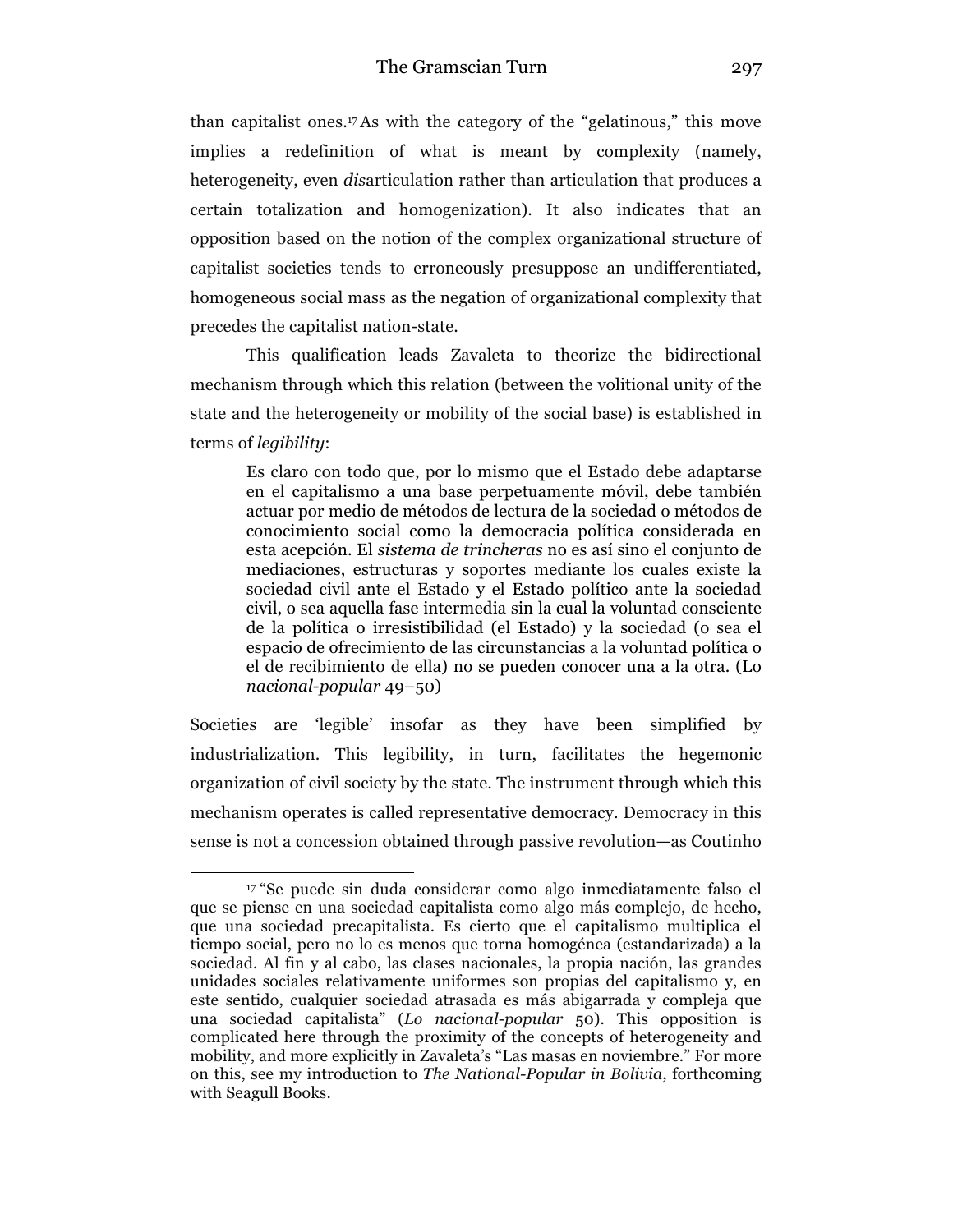than capitalist ones.<sup>17</sup>As with the category of the "gelatinous," this move implies a redefinition of what is meant by complexity (namely, heterogeneity, even *dis*articulation rather than articulation that produces a certain totalization and homogenization). It also indicates that an opposition based on the notion of the complex organizational structure of capitalist societies tends to erroneously presuppose an undifferentiated, homogeneous social mass as the negation of organizational complexity that precedes the capitalist nation-state.

This qualification leads Zavaleta to theorize the bidirectional mechanism through which this relation (between the volitional unity of the state and the heterogeneity or mobility of the social base) is established in terms of *legibility*:

Es claro con todo que, por lo mismo que el Estado debe adaptarse en el capitalismo a una base perpetuamente móvil, debe también actuar por medio de métodos de lectura de la sociedad o métodos de conocimiento social como la democracia política considerada en esta acepción. El *sistema de trincheras* no es así sino el conjunto de mediaciones, estructuras y soportes mediante los cuales existe la sociedad civil ante el Estado y el Estado político ante la sociedad civil, o sea aquella fase intermedia sin la cual la voluntad consciente de la política o irresistibilidad (el Estado) y la sociedad (o sea el espacio de ofrecimiento de las circunstancias a la voluntad política o el de recibimiento de ella) no se pueden conocer una a la otra. (Lo *nacional-popular* 49–50)

Societies are 'legible' insofar as they have been simplified by industrialization. This legibility, in turn, facilitates the hegemonic organization of civil society by the state. The instrument through which this mechanism operates is called representative democracy. Democracy in this sense is not a concession obtained through passive revolution—as Coutinho

<sup>17</sup> "Se puede sin duda considerar como algo inmediatamente falso el que se piense en una sociedad capitalista como algo más complejo, de hecho, que una sociedad precapitalista. Es cierto que el capitalismo multiplica el tiempo social, pero no lo es menos que torna homogénea (estandarizada) a la sociedad. Al fin y al cabo, las clases nacionales, la propia nación, las grandes unidades sociales relativamente uniformes son propias del capitalismo y, en este sentido, cualquier sociedad atrasada es más abigarrada y compleja que una sociedad capitalista" (*Lo nacional-popular* 50). This opposition is complicated here through the proximity of the concepts of heterogeneity and mobility, and more explicitly in Zavaleta's "Las masas en noviembre." For more on this, see my introduction to *The National-Popular in Bolivia*, forthcoming with Seagull Books.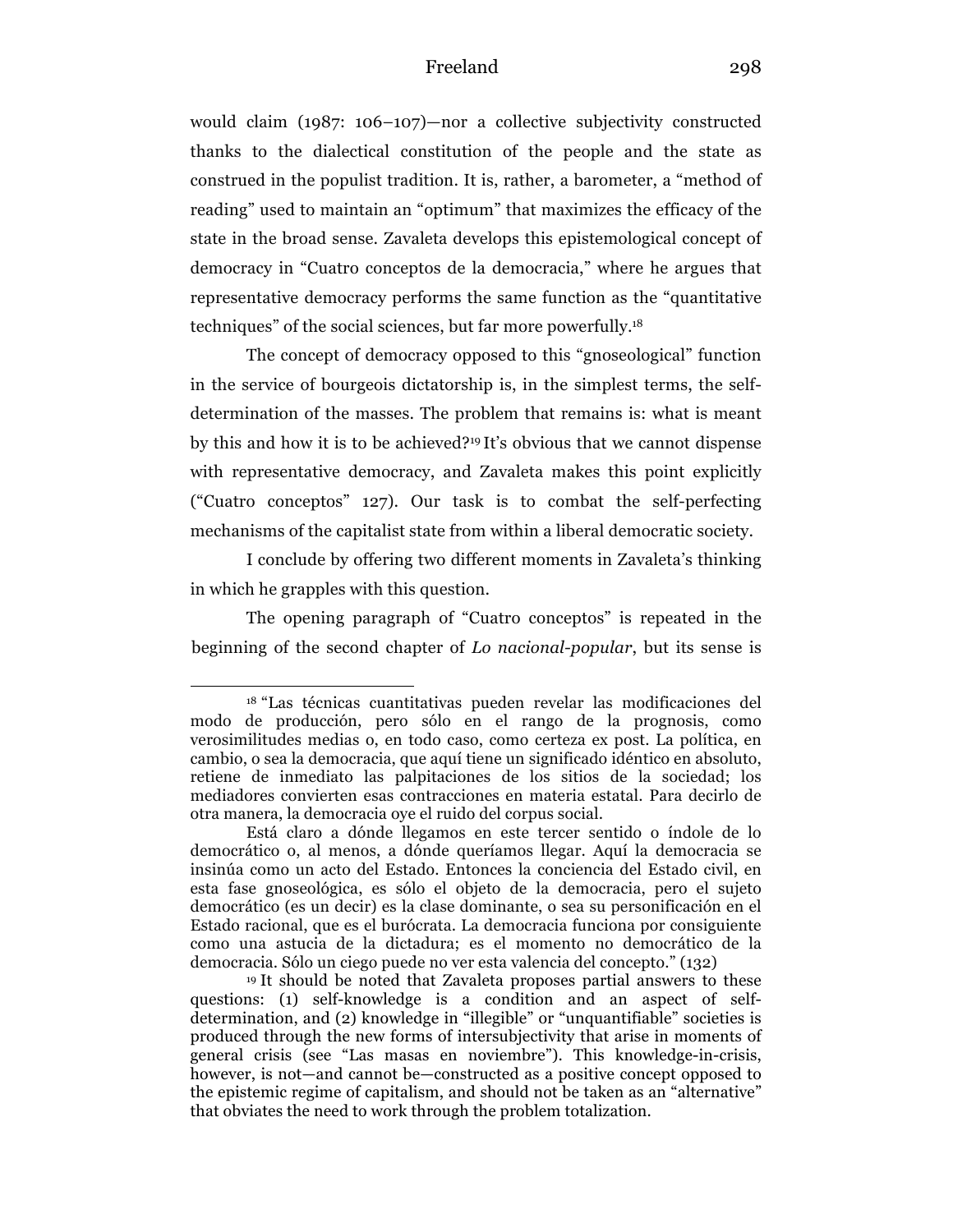would claim (1987: 106–107)—nor a collective subjectivity constructed thanks to the dialectical constitution of the people and the state as construed in the populist tradition. It is, rather, a barometer, a "method of reading" used to maintain an "optimum" that maximizes the efficacy of the state in the broad sense. Zavaleta develops this epistemological concept of democracy in "Cuatro conceptos de la democracia," where he argues that representative democracy performs the same function as the "quantitative techniques" of the social sciences, but far more powerfully.18

The concept of democracy opposed to this "gnoseological" function in the service of bourgeois dictatorship is, in the simplest terms, the selfdetermination of the masses. The problem that remains is: what is meant by this and how it is to be achieved?19 It's obvious that we cannot dispense with representative democracy, and Zavaleta makes this point explicitly ("Cuatro conceptos" 127). Our task is to combat the self-perfecting mechanisms of the capitalist state from within a liberal democratic society.

I conclude by offering two different moments in Zavaleta's thinking in which he grapples with this question.

The opening paragraph of "Cuatro conceptos" is repeated in the beginning of the second chapter of *Lo nacional-popular*, but its sense is

<sup>18</sup> "Las técnicas cuantitativas pueden revelar las modificaciones del modo de producción, pero sólo en el rango de la prognosis, como verosimilitudes medias o, en todo caso, como certeza ex post. La política, en cambio, o sea la democracia, que aquí tiene un significado idéntico en absoluto, retiene de inmediato las palpitaciones de los sitios de la sociedad; los mediadores convierten esas contracciones en materia estatal. Para decirlo de otra manera, la democracia oye el ruido del corpus social.

Está claro a dónde llegamos en este tercer sentido o índole de lo democrático o, al menos, a dónde queríamos llegar. Aquí la democracia se insinúa como un acto del Estado. Entonces la conciencia del Estado civil, en esta fase gnoseológica, es sólo el objeto de la democracia, pero el sujeto democrático (es un decir) es la clase dominante, o sea su personificación en el Estado racional, que es el burócrata. La democracia funciona por consiguiente como una astucia de la dictadura; es el momento no democrático de la democracia. Sólo un ciego puede no ver esta valencia del concepto." (132)

<sup>19</sup> It should be noted that Zavaleta proposes partial answers to these questions: (1) self-knowledge is a condition and an aspect of selfdetermination, and (2) knowledge in "illegible" or "unquantifiable" societies is produced through the new forms of intersubjectivity that arise in moments of general crisis (see "Las masas en noviembre"). This knowledge-in-crisis, however, is not—and cannot be—constructed as a positive concept opposed to the epistemic regime of capitalism, and should not be taken as an "alternative" that obviates the need to work through the problem totalization.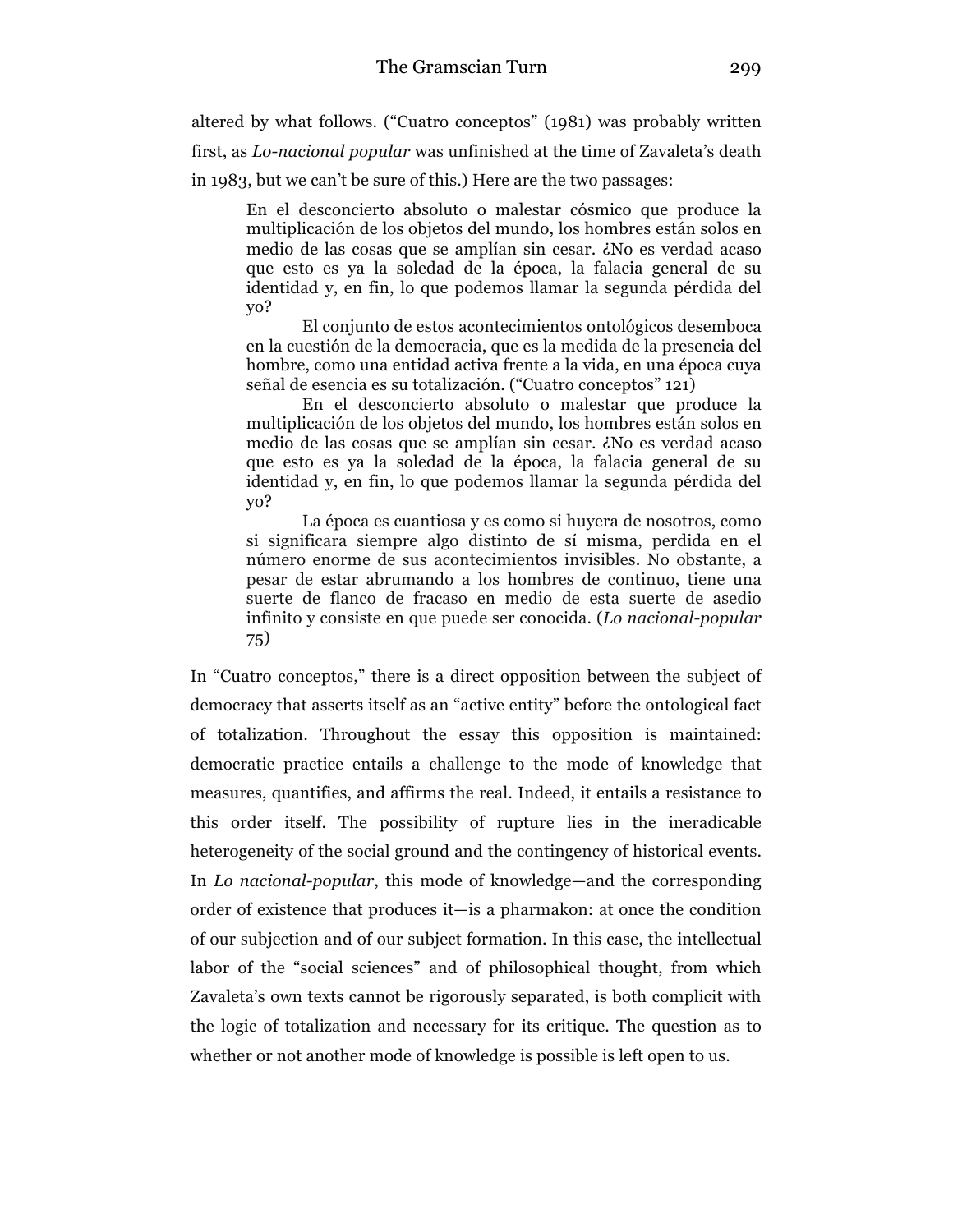altered by what follows. ("Cuatro conceptos" (1981) was probably written first, as *Lo-nacional popular* was unfinished at the time of Zavaleta's death in 1983, but we can't be sure of this.) Here are the two passages:

En el desconcierto absoluto o malestar cósmico que produce la multiplicación de los objetos del mundo, los hombres están solos en medio de las cosas que se amplían sin cesar. ¿No es verdad acaso que esto es ya la soledad de la época, la falacia general de su identidad y, en fin, lo que podemos llamar la segunda pérdida del yo?

El conjunto de estos acontecimientos ontológicos desemboca en la cuestión de la democracia, que es la medida de la presencia del hombre, como una entidad activa frente a la vida, en una época cuya señal de esencia es su totalización. ("Cuatro conceptos" 121)

En el desconcierto absoluto o malestar que produce la multiplicación de los objetos del mundo, los hombres están solos en medio de las cosas que se amplían sin cesar. ¿No es verdad acaso que esto es ya la soledad de la época, la falacia general de su identidad y, en fin, lo que podemos llamar la segunda pérdida del yo?

La época es cuantiosa y es como si huyera de nosotros, como si significara siempre algo distinto de sí misma, perdida en el número enorme de sus acontecimientos invisibles. No obstante, a pesar de estar abrumando a los hombres de continuo, tiene una suerte de flanco de fracaso en medio de esta suerte de asedio infinito y consiste en que puede ser conocida. (*Lo nacional-popular*  75)

In "Cuatro conceptos," there is a direct opposition between the subject of democracy that asserts itself as an "active entity" before the ontological fact of totalization. Throughout the essay this opposition is maintained: democratic practice entails a challenge to the mode of knowledge that measures, quantifies, and affirms the real. Indeed, it entails a resistance to this order itself. The possibility of rupture lies in the ineradicable heterogeneity of the social ground and the contingency of historical events. In *Lo nacional-popular*, this mode of knowledge—and the corresponding order of existence that produces it—is a pharmakon: at once the condition of our subjection and of our subject formation. In this case, the intellectual labor of the "social sciences" and of philosophical thought, from which Zavaleta's own texts cannot be rigorously separated, is both complicit with the logic of totalization and necessary for its critique. The question as to whether or not another mode of knowledge is possible is left open to us.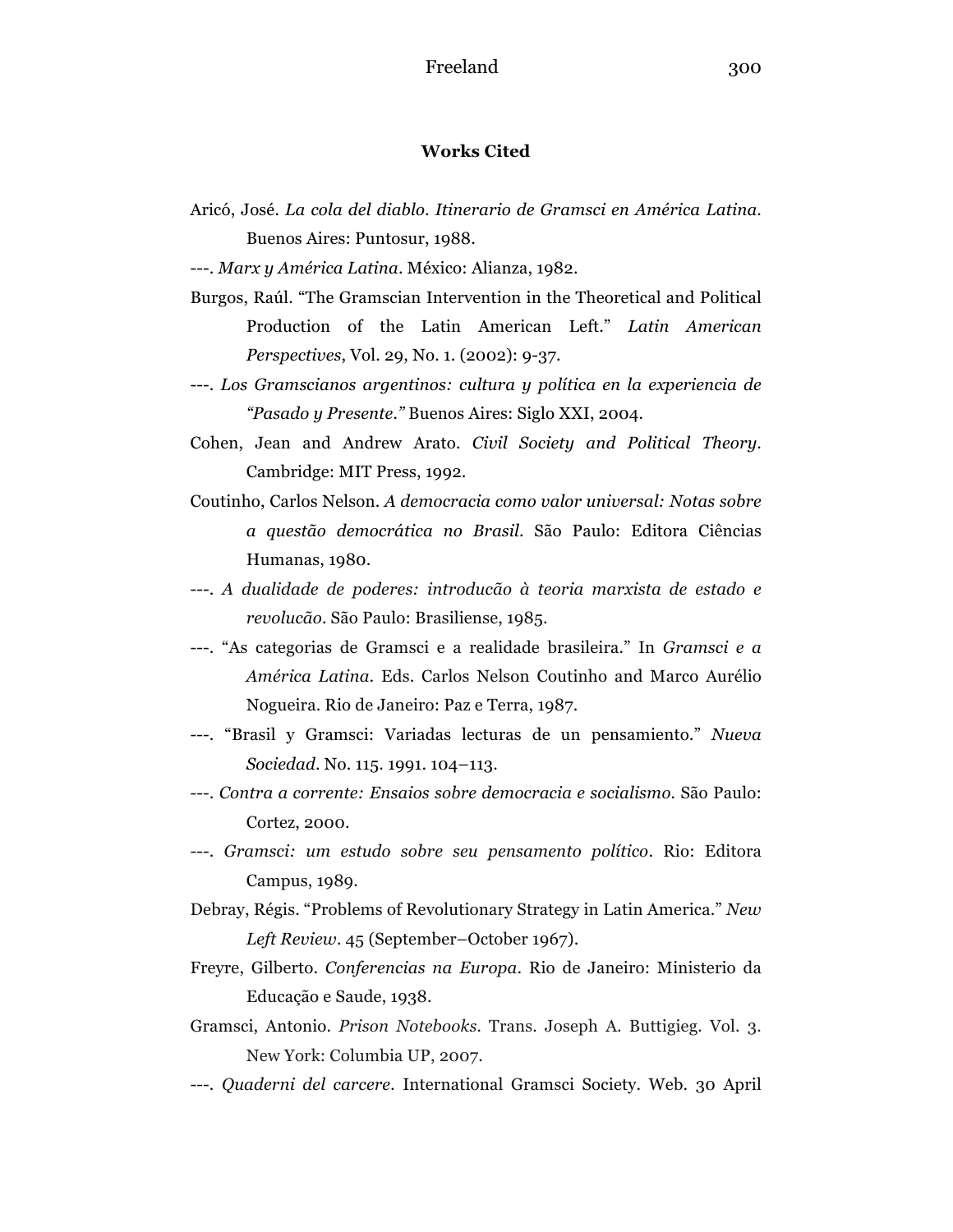#### **Works Cited**

- Aricó, José. *La cola del diablo. Itinerario de Gramsci en América Latina*. Buenos Aires: Puntosur, 1988.
- ---. *Marx y América Latina*. México: Alianza, 1982.
- Burgos, Raúl. "The Gramscian Intervention in the Theoretical and Political Production of the Latin American Left." *Latin American Perspectives*, Vol. 29, No. 1. (2002): 9-37.
- ---. *Los Gramscianos argentinos: cultura y política en la experiencia de "Pasado y Presente."* Buenos Aires: Siglo XXI, 2004.
- Cohen, Jean and Andrew Arato. *Civil Society and Political Theory*. Cambridge: MIT Press, 1992.
- Coutinho, Carlos Nelson. *A democracia como valor universal: Notas sobre a questão democrática no Brasil*. São Paulo: Editora Ciências Humanas, 1980.
- ---. *A dualidade de poderes: introducão à teoria marxista de estado e revolucão*. São Paulo: Brasiliense, 1985.
- ---. "As categorias de Gramsci e a realidade brasileira." In *Gramsci e a América Latina.* Eds. Carlos Nelson Coutinho and Marco Aurélio Nogueira. Rio de Janeiro: Paz e Terra, 1987.
- ---. "Brasil y Gramsci: Variadas lecturas de un pensamiento." *Nueva Sociedad*. No. 115. 1991. 104–113.
- ---. *Contra a corrente: Ensaios sobre democracia e socialismo.* São Paulo: Cortez, 2000.
- ---. *Gramsci: um estudo sobre seu pensamento político*. Rio: Editora Campus, 1989.
- Debray, Régis. "Problems of Revolutionary Strategy in Latin America." *New Left Review*. 45 (September–October 1967).
- Freyre, Gilberto. *Conferencias na Europa*. Rio de Janeiro: Ministerio da Educação e Saude, 1938.
- Gramsci, Antonio. *Prison Notebooks.* Trans. Joseph A. Buttigieg. Vol. 3. New York: Columbia UP, 2007.
- ---. *Quaderni del carcere.* International Gramsci Society. Web. 30 April